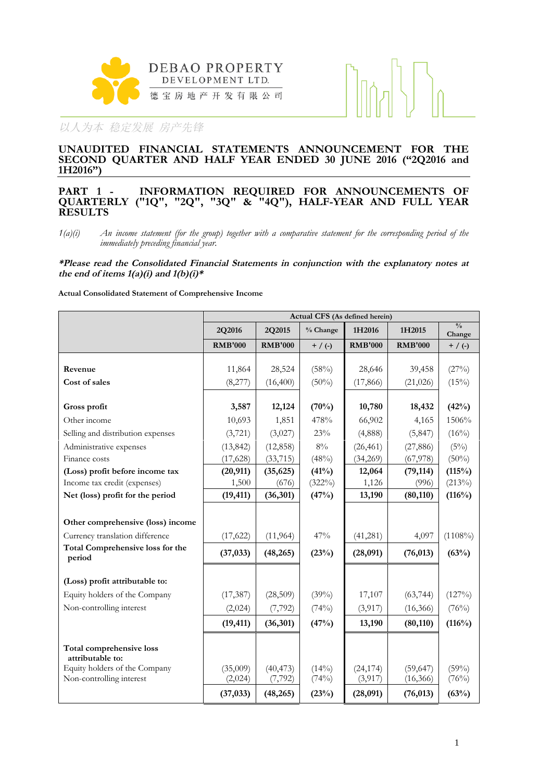



## **UNAUDITED FINANCIAL STATEMENTS ANNOUNCEMENT FOR THE SECOND QUARTER AND HALF YEAR ENDED 30 JUNE 2016 ("2Q2016 and 1H2016")**

#### **PART 1 - INFORMATION REQUIRED FOR ANNOUNCEMENTS OF QUARTERLY ("1Q", "2Q", "3Q" & "4Q"), HALF-YEAR AND FULL YEAR RESULTS**

*1(a)(i) An income statement (for the group) together with a comparative statement for the corresponding period of the immediately preceding financial year.* 

\*Please read the Consolidated Financial Statements in conjunction with the explanatory notes at **the end** of **items**  $1(a)(i)$  **and**  $1(b)(i)^*$ 

**Actual Consolidated Statement of Comprehensive Income**

|                                                   | Actual CFS (As defined herein) |                |           |                |                |                         |  |
|---------------------------------------------------|--------------------------------|----------------|-----------|----------------|----------------|-------------------------|--|
|                                                   | 2Q2016                         | 2Q2015         | % Change  | 1H2016         | 1H2015         | $\frac{0}{0}$<br>Change |  |
|                                                   | <b>RMB'000</b>                 | <b>RMB'000</b> | $+$ / (-) | <b>RMB'000</b> | <b>RMB'000</b> | $+$ / (-)               |  |
|                                                   |                                |                |           |                |                |                         |  |
| Revenue                                           | 11,864                         | 28,524         | (58%)     | 28,646         | 39,458         | (27%)                   |  |
| Cost of sales                                     | (8,277)                        | (16,400)       | $(50\%)$  | (17, 866)      | (21, 026)      | (15%)                   |  |
| Gross profit                                      | 3,587                          | 12,124         | (70%)     | 10,780         | 18,432         | (42%)                   |  |
| Other income                                      | 10,693                         | 1,851          | 478%      | 66,902         | 4,165          | 1506%                   |  |
| Selling and distribution expenses                 | (3,721)                        | (3,027)        | 23%       | (4,888)        | (5, 847)       | $(16\%)$                |  |
| Administrative expenses                           | (13, 842)                      | (12, 858)      | $8\%$     | (26, 461)      | (27, 886)      | (5%)                    |  |
| Finance costs                                     | (17, 628)                      | (33, 715)      | (48%)     | (34,269)       | (67,978)       | $(50\%)$                |  |
| (Loss) profit before income tax                   | (20, 911)                      | (35, 625)      | (41%)     | 12,064         | (79, 114)      | (115%)                  |  |
| Income tax credit (expenses)                      | 1,500                          | (676)          | $(322\%)$ | 1,126          | (996)          | (213%)                  |  |
| Net (loss) profit for the period                  | (19, 411)                      | (36, 301)      | (47%)     | 13,190         | (80, 110)      | (116%)                  |  |
|                                                   |                                |                |           |                |                |                         |  |
| Other comprehensive (loss) income                 |                                |                |           |                |                |                         |  |
| Currency translation difference                   | (17, 622)                      | (11, 964)      | 47%       | (41,281)       | 4,097          | $(1108\%)$              |  |
| <b>Total Comprehensive loss for the</b><br>period | (37, 033)                      | (48, 265)      | (23%)     | (28,091)       | (76, 013)      | (63%)                   |  |
| (Loss) profit attributable to:                    |                                |                |           |                |                |                         |  |
| Equity holders of the Company                     | (17, 387)                      | (28,509)       | (39%)     | 17,107         | (63, 744)      | (127%)                  |  |
| Non-controlling interest                          | (2,024)                        | (7, 792)       | (74%)     | (3,917)        | (16, 366)      | (76%)                   |  |
|                                                   | (19, 411)                      | (36, 301)      | (47%)     | 13,190         | (80, 110)      | (116%)                  |  |
| Total comprehensive loss<br>attributable to:      |                                |                |           |                |                |                         |  |
| Equity holders of the Company                     | (35,009)                       | (40, 473)      | $(14\%)$  | (24, 174)      | (59, 647)      | (59%)                   |  |
| Non-controlling interest                          | (2,024)                        | (7, 792)       | (74%)     | (3,917)        | (16, 366)      | (76%)                   |  |
|                                                   | (37, 033)                      | (48, 265)      | (23%)     | (28,091)       | (76, 013)      | (63%)                   |  |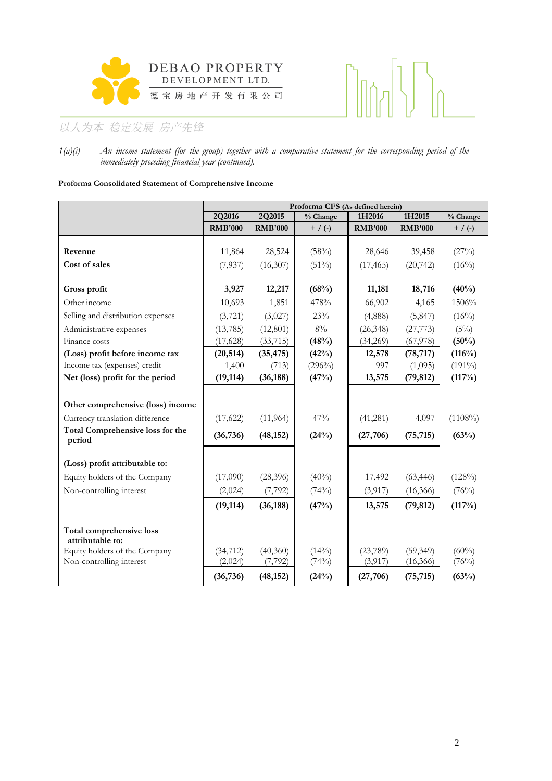



*1(a)(i) An income statement (for the group) together with a comparative statement for the corresponding period of the immediately preceding financial year (continued).* 

#### **Proforma Consolidated Statement of Comprehensive Income**

|                                                   | Proforma CFS (As defined herein) |                |           |                |                |            |  |  |
|---------------------------------------------------|----------------------------------|----------------|-----------|----------------|----------------|------------|--|--|
|                                                   | 2Q2016                           | 2Q2015         | % Change  | 1H2016         | 1H2015         | % Change   |  |  |
|                                                   | <b>RMB'000</b>                   | <b>RMB'000</b> | $+$ / (-) | <b>RMB'000</b> | <b>RMB'000</b> | $+$ / (-)  |  |  |
|                                                   |                                  |                |           |                |                |            |  |  |
| Revenue                                           | 11,864                           | 28,524         | (58%)     | 28,646         | 39,458         | (27%)      |  |  |
| Cost of sales                                     | (7,937)                          | (16, 307)      | $(51\%)$  | (17, 465)      | (20, 742)      | $(16\%)$   |  |  |
| Gross profit                                      | 3,927                            | 12,217         | (68%)     | 11,181         | 18,716         | $(40\%)$   |  |  |
| Other income                                      | 10,693                           | 1,851          | 478%      | 66,902         | 4,165          | 1506%      |  |  |
| Selling and distribution expenses                 | (3,721)                          | (3,027)        | 23%       | (4,888)        | (5,847)        | $(16\%)$   |  |  |
| Administrative expenses                           | (13, 785)                        | (12, 801)      | $8\%$     | (26, 348)      | (27, 773)      | (5%)       |  |  |
| Finance costs                                     | (17, 628)                        | (33, 715)      | (48%)     | (34,269)       | (67,978)       | (50%)      |  |  |
| (Loss) profit before income tax                   | (20, 514)                        | (35, 475)      | (42%)     | 12,578         | (78, 717)      | (116%)     |  |  |
| Income tax (expenses) credit                      | 1,400                            | (713)          | $(296\%)$ | 997            | (1,095)        | $(191\%)$  |  |  |
| Net (loss) profit for the period                  | (19, 114)                        | (36, 188)      | (47%)     | 13,575         | (79, 812)      | (117%)     |  |  |
|                                                   |                                  |                |           |                |                |            |  |  |
| Other comprehensive (loss) income                 |                                  |                |           |                |                |            |  |  |
| Currency translation difference                   | (17, 622)                        | (11, 964)      | 47%       | (41, 281)      | 4,097          | $(1108\%)$ |  |  |
| <b>Total Comprehensive loss for the</b><br>period | (36, 736)                        | (48, 152)      | (24%)     | (27,706)       | (75, 715)      | (63%)      |  |  |
|                                                   |                                  |                |           |                |                |            |  |  |
| (Loss) profit attributable to:                    |                                  |                |           |                |                |            |  |  |
| Equity holders of the Company                     | (17,090)                         | (28, 396)      | $(40\%)$  | 17,492         | (63, 446)      | (128%)     |  |  |
| Non-controlling interest                          | (2,024)                          | (7, 792)       | (74%)     | (3,917)        | (16, 366)      | (76%)      |  |  |
|                                                   | (19, 114)                        | (36, 188)      | (47%)     | 13,575         | (79, 812)      | (117%)     |  |  |
| Total comprehensive loss<br>attributable to:      |                                  |                |           |                |                |            |  |  |
| Equity holders of the Company                     | (34, 712)                        | (40,360)       | $(14\%)$  | (23,789)       | (59, 349)      | $(60\%)$   |  |  |
| Non-controlling interest                          | (2,024)                          | (7, 792)       | (74%)     | (3,917)        | (16, 366)      | (76%)      |  |  |
|                                                   | (36, 736)                        | (48, 152)      | (24%)     | (27,706)       | (75, 715)      | (63%)      |  |  |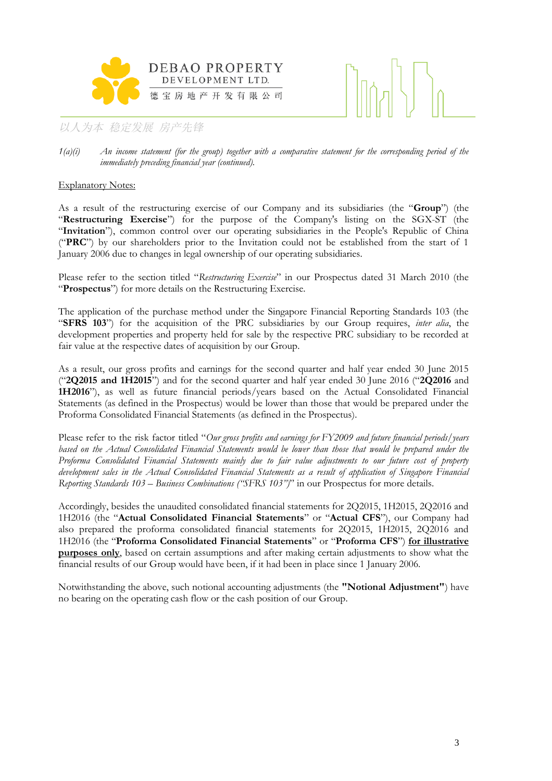



## **Explanatory Notes:**

As a result of the restructuring exercise of our Company and its subsidiaries (the "Group") (the "Restructuring Exercise") for the purpose of the Company's listing on the SGX-ST (the "Invitation"), common control over our operating subsidiaries in the People's Republic of China ("PRC") by our shareholders prior to the Invitation could not be established from the start of 1 January 2006 due to changes in legal ownership of our operating subsidiaries.

Please refer to the section titled "Restructuring Exercise" in our Prospectus dated 31 March 2010 (the "Prospectus") for more details on the Restructuring Exercise.

The application of the purchase method under the Singapore Financial Reporting Standards 103 (the "SFRS 103") for the acquisition of the PRC subsidiaries by our Group requires, *inter alia*, the development properties and property held for sale by the respective PRC subsidiary to be recorded at fair value at the respective dates of acquisition by our Group.

As a result, our gross profits and earnings for the second quarter and half year ended 30 June 2015 ("2Q2015 and 1H2015") and for the second quarter and half year ended 30 June 2016 ("2Q2016 and 1H2016"), as well as future financial periods/years based on the Actual Consolidated Financial Statements (as defined in the Prospectus) would be lower than those that would be prepared under the Proforma Consolidated Financial Statements (as defined in the Prospectus).

Please refer to the risk factor titled "Our gross profits and earnings for FY2009 and future financial periods/years based on the Actual Consolidated Financial Statements would be lower than those that would be prepared under the Proforma Consolidated Financial Statements mainly due to fair value adjustments to our future cost of property development sales in the Actual Consolidated Financial Statements as a result of application of Singapore Financial Reporting Standards 103 - Business Combinations ("SFRS 103")" in our Prospectus for more details.

Accordingly, besides the unaudited consolidated financial statements for 2Q2015, 1H2015, 2Q2016 and 1H2016 (the "Actual Consolidated Financial Statements" or "Actual CFS"), our Company had also prepared the proforma consolidated financial statements for 2Q2015, 1H2015, 2Q2016 and 1H2016 (the "Proforma Consolidated Financial Statements" or "Proforma CFS") for illustrative purposes only, based on certain assumptions and after making certain adjustments to show what the financial results of our Group would have been, if it had been in place since 1 January 2006.

Notwithstanding the above, such notional accounting adjustments (the "Notional Adjustment") have no bearing on the operating cash flow or the cash position of our Group.

An income statement (for the group) together with a comparative statement for the corresponding period of the  $1(a)(i)$ *immediately preceding financial year (continued).*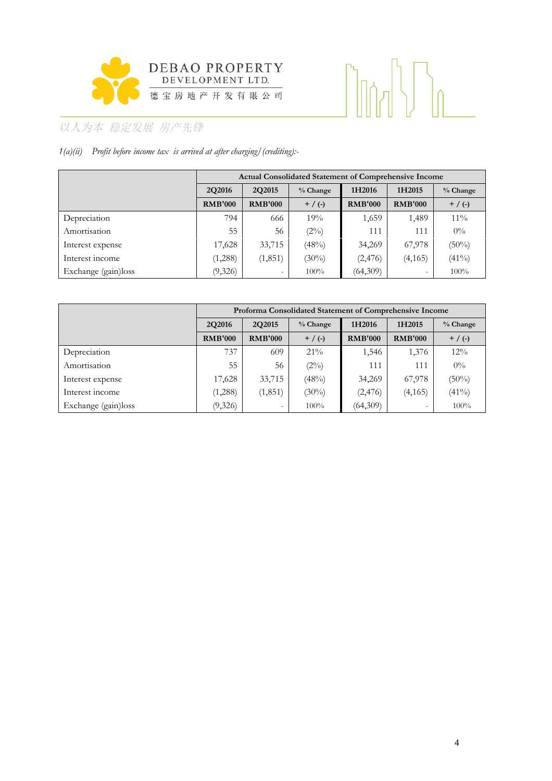

# 

# 以人为本 稳定发展 房产先锋

## *1(a)(ii)* Profit before income tax is arrived at after charging/(crediting):-

|                     | Actual Consolidated Statement of Comprehensive Income |                |            |                |                          |            |  |  |
|---------------------|-------------------------------------------------------|----------------|------------|----------------|--------------------------|------------|--|--|
|                     | 2Q2016                                                | 2Q2015         | $%$ Change | 1H2016         | 1H2015                   | $%$ Change |  |  |
|                     | <b>RMB'000</b>                                        | <b>RMB'000</b> | $+$ / (-)  | <b>RMB'000</b> | <b>RMB'000</b>           | $+$ / (-)  |  |  |
| Depreciation        | 794                                                   | 666            | 19%        | 1,659          | 1,489                    | $11\%$     |  |  |
| Amortisation        | 55                                                    | 56             | (2%)       | 111            | 111                      | $0\%$      |  |  |
| Interest expense    | 17,628                                                | 33,715         | (48%)      | 34,269         | 67,978                   | $(50\%)$   |  |  |
| Interest income     | (1,288)                                               | (1,851)        | $(30\%)$   | (2, 476)       | (4, 165)                 | $(41\%)$   |  |  |
| Exchange (gain)loss | (9,326)                                               |                | $100\%$    | (64,309)       | $\overline{\phantom{0}}$ | 100%       |  |  |

|                     | Proforma Consolidated Statement of Comprehensive Income |                |            |                |                          |           |  |  |
|---------------------|---------------------------------------------------------|----------------|------------|----------------|--------------------------|-----------|--|--|
|                     | 2Q2016                                                  | 2Q2015         | $%$ Change | 1H2016         | 1H2015                   | % Change  |  |  |
|                     | <b>RMB'000</b>                                          | <b>RMB'000</b> | $+$ / (-)  | <b>RMB'000</b> | <b>RMB'000</b>           | $+$ / (-) |  |  |
| Depreciation        | 737                                                     | 609            | $21\%$     | 1,546          | 1,376                    | $12\%$    |  |  |
| Amortisation        | 55                                                      | 56             | (2%)       | 111            | 111                      | $0\%$     |  |  |
| Interest expense    | 17,628                                                  | 33,715         | (48%)      | 34,269         | 67,978                   | $(50\%)$  |  |  |
| Interest income     | (1,288)                                                 | (1, 851)       | $(30\%)$   | (2, 476)       | (4, 165)                 | $(41\%)$  |  |  |
| Exchange (gain)loss | (9,326)                                                 |                | $100\%$    | (64,309)       | $\overline{\phantom{a}}$ | 100%      |  |  |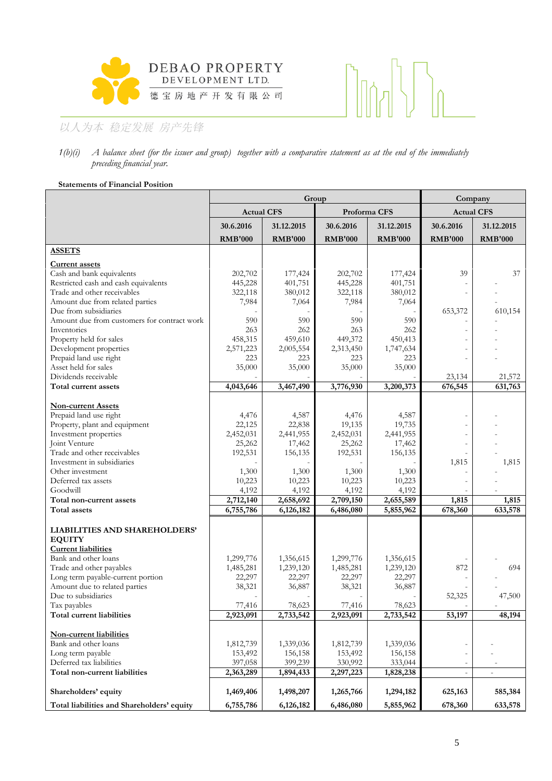



#### *1(b)(i)* A balance sheet (for the issuer and group) together with a comparative statement as at the end of the immediately *preceding financial year.*

#### **Statements of Financial Position**

|                                             |                   | Group          | Company        |                |                   |                          |
|---------------------------------------------|-------------------|----------------|----------------|----------------|-------------------|--------------------------|
|                                             | <b>Actual CFS</b> |                | Proforma CFS   |                | <b>Actual CFS</b> |                          |
|                                             | 30.6.2016         | 31.12.2015     | 30.6.2016      | 31.12.2015     | 30.6.2016         | 31.12.2015               |
|                                             | <b>RMB'000</b>    | <b>RMB'000</b> | <b>RMB'000</b> | <b>RMB'000</b> | <b>RMB'000</b>    | <b>RMB'000</b>           |
| <b>ASSETS</b>                               |                   |                |                |                |                   |                          |
| <b>Current assets</b>                       |                   |                |                |                |                   |                          |
| Cash and bank equivalents                   | 202,702           | 177,424        | 202,702        | 177,424        | 39                | 37                       |
| Restricted cash and cash equivalents        | 445,228           | 401,751        | 445,228        | 401,751        |                   |                          |
| Trade and other receivables                 | 322,118           | 380,012        | 322,118        | 380,012        |                   |                          |
| Amount due from related parties             | 7,984             | 7,064          | 7,984          | 7,064          |                   |                          |
| Due from subsidiaries                       |                   |                |                |                | 653,372           | 610,154                  |
| Amount due from customers for contract work | 590               | 590            | 590            | 590            |                   |                          |
| Inventories                                 | 263               | 262            | 263            | 262            |                   |                          |
| Property held for sales                     | 458,315           | 459,610        | 449,372        | 450,413        |                   |                          |
| Development properties                      | 2,571,223         | 2,005,554      | 2,313,450      | 1,747,634      |                   |                          |
| Prepaid land use right                      | 223               | 223            | 223            | 223            |                   |                          |
| Asset held for sales                        | 35,000            | 35,000         | 35,000         | 35,000         |                   |                          |
| Dividends receivable                        |                   |                |                |                | 23,134            | 21,572                   |
| Total current assets                        | 4,043,646         | 3,467,490      | 3,776,930      | 3,200,373      | 676,545           | 631,763                  |
| <b>Non-current Assets</b>                   |                   |                |                |                |                   |                          |
| Prepaid land use right                      | 4,476             | 4,587          | 4,476          | 4,587          |                   |                          |
| Property, plant and equipment               | 22,125            | 22,838         | 19,135         | 19,735         |                   |                          |
| Investment properties                       | 2,452,031         | 2,441,955      | 2,452,031      | 2,441,955      |                   |                          |
| Joint Venture                               | 25,262            | 17,462         | 25,262         | 17,462         |                   |                          |
| Trade and other receivables                 | 192,531           | 156,135        | 192,531        | 156,135        |                   |                          |
| Investment in subsidiaries                  |                   |                |                |                | 1,815             | 1,815                    |
| Other investment                            | 1,300             | 1,300          | 1,300          | 1,300          |                   |                          |
| Deferred tax assets                         | 10,223            | 10,223         | 10,223         | 10,223         |                   |                          |
| Goodwill                                    | 4,192             | 4,192          | 4,192          | 4,192          |                   |                          |
| Total non-current assets                    | 2,712,140         | 2,658,692      | 2,709,150      | 2,655,589      | 1,815             | 1,815                    |
| Total assets                                | 6,755,786         | 6,126,182      | 6,486,080      | 5,855,962      | 678,360           | 633,578                  |
|                                             |                   |                |                |                |                   |                          |
| LIABILITIES AND SHAREHOLDERS'               |                   |                |                |                |                   |                          |
| <b>EQUITY</b>                               |                   |                |                |                |                   |                          |
| <b>Current liabilities</b>                  |                   |                |                |                |                   |                          |
| Bank and other loans                        | 1,299,776         | 1,356,615      | 1,299,776      | 1,356,615      |                   |                          |
| Trade and other payables                    | 1,485,281         | 1,239,120      | 1,485,281      | 1,239,120      | 872               | 694                      |
| Long term payable-current portion           | 22,297            | 22,297         | 22,297         | 22,297         |                   |                          |
| Amount due to related parties               | 38,321            | 36,887         | 38,321         | 36,887         |                   |                          |
| Due to subsidiaries                         |                   |                |                |                | 52,325            | 47,500                   |
| Tax payables                                | 77.416            | 78.623         | 77.416         | 78.623         |                   |                          |
| Total current liabilities                   | 2,923,091         | 2,733,542      | 2,923,091      | 2,733,542      | 53,197            | 48,194                   |
| Non-current liabilities                     |                   |                |                |                |                   |                          |
| Bank and other loans                        | 1,812,739         | 1,339,036      | 1,812,739      | 1,339,036      |                   |                          |
| Long term payable                           | 153,492           | 156,158        | 153,492        | 156,158        |                   |                          |
| Deferred tax liabilities                    | 397,058           | 399,239        | 330,992        | 333,044        |                   |                          |
| Total non-current liabilities               | 2,363,289         | 1,894,433      | 2,297,223      | 1,828,238      | $\overline{a}$    | $\overline{\phantom{a}}$ |
|                                             |                   |                |                |                |                   |                          |
| Shareholders' equity                        | 1,469,406         | 1,498,207      | 1,265,766      | 1,294,182      | 625,163           | 585,384                  |
| Total liabilities and Shareholders' equity  | 6,755,786         | 6,126,182      | 6,486,080      | 5,855,962      | 678,360           | 633,578                  |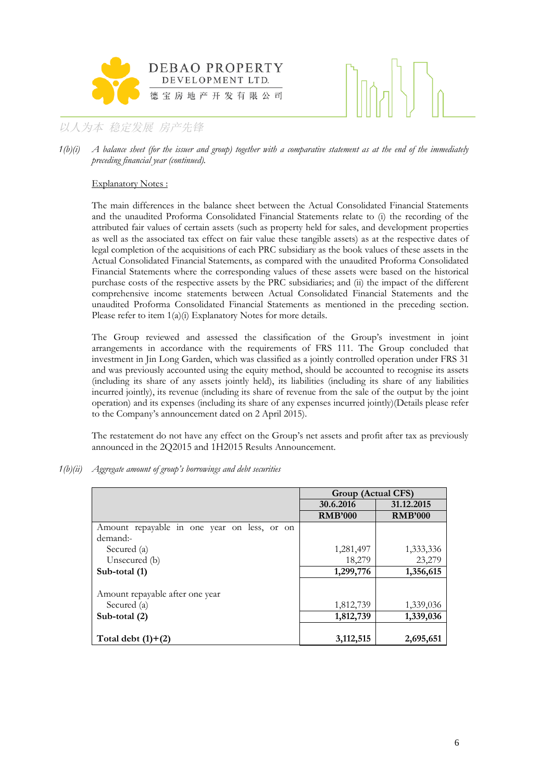



*1(b)(i)* A balance sheet (for the issuer and group) together with a comparative statement as at the end of the immediately *preceding financial year (continued).* 

#### Explanatory Notes :

The main differences in the balance sheet between the Actual Consolidated Financial Statements and the unaudited Proforma Consolidated Financial Statements relate to (i) the recording of the attributed fair values of certain assets (such as property held for sales, and development properties as well as the associated tax effect on fair value these tangible assets) as at the respective dates of legal completion of the acquisitions of each PRC subsidiary as the book values of these assets in the Actual Consolidated Financial Statements, as compared with the unaudited Proforma Consolidated Financial Statements where the corresponding values of these assets were based on the historical purchase costs of the respective assets by the PRC subsidiaries; and (ii) the impact of the different comprehensive income statements between Actual Consolidated Financial Statements and the unaudited Proforma Consolidated Financial Statements as mentioned in the preceding section. Please refer to item  $1(a)(i)$  Explanatory Notes for more details.

The Group reviewed and assessed the classification of the Group's investment in joint arrangements in accordance with the requirements of FRS 111. The Group concluded that investment in Jin Long Garden, which was classified as a jointly controlled operation under FRS 31 and was previously accounted using the equity method, should be accounted to recognise its assets (including its share of any assets jointly held), its liabilities (including its share of any liabilities incurred jointly), its revenue (including its share of revenue from the sale of the output by the joint operation) and its expenses (including its share of any expenses incurred jointly)(Details please refer to the Company's announcement dated on 2 April 2015).

The restatement do not have any effect on the Group's net assets and profit after tax as previously announced in the 2Q2015 and 1H2015 Results Announcement.

*1(b)(ii)* Aggregate amount of group's borrowings and debt securities

|                                             | Group (Actual CFS) |                |
|---------------------------------------------|--------------------|----------------|
|                                             | 30.6.2016          | 31.12.2015     |
|                                             | <b>RMB'000</b>     | <b>RMB'000</b> |
| Amount repayable in one year on less, or on |                    |                |
| demand:-                                    |                    |                |
| Secured (a)                                 | 1,281,497          | 1,333,336      |
| Unsecured (b)                               | 18,279             | 23,279         |
| Sub-total (1)                               | 1,299,776          | 1,356,615      |
| Amount repayable after one year             |                    |                |
| Secured (a)                                 | 1,812,739          | 1,339,036      |
| Sub-total $(2)$                             | 1,812,739          | 1,339,036      |
|                                             |                    |                |
| Total debt $(1)+(2)$                        | 3,112,515          | 2,695,651      |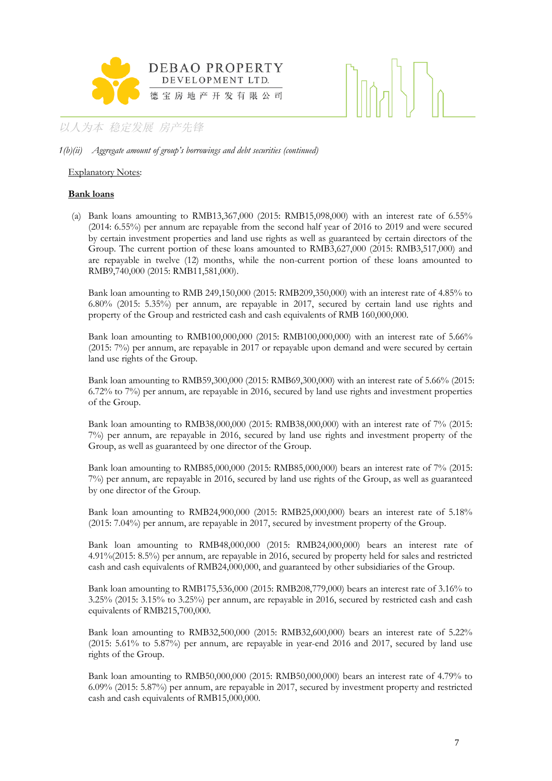

#### *1(b)(ii) Aggregate amount of group's borrowings and debt securities (continued)*

#### Explanatory Notes:

#### **Bank loans**

(a) Bank loans amounting to RMB13,367,000 (2015: RMB15,098,000) with an interest rate of 6.55% (2014: 6.55%) per annum are repayable from the second half year of 2016 to 2019 and were secured by certain investment properties and land use rights as well as guaranteed by certain directors of the Group. The current portion of these loans amounted to RMB3,627,000 (2015: RMB3,517,000) and are repayable in twelve (12) months, while the non-current portion of these loans amounted to RMB9,740,000 (2015: RMB11,581,000).

Bank loan amounting to RMB 249,150,000 (2015: RMB209,350,000) with an interest rate of 4.85% to 6.80% (2015: 5.35%) per annum, are repayable in 2017, secured by certain land use rights and property of the Group and restricted cash and cash equivalents of RMB 160,000,000.

Bank loan amounting to RMB100,000,000 (2015: RMB100,000,000) with an interest rate of 5.66% (2015: 7%) per annum, are repayable in 2017 or repayable upon demand and were secured by certain land use rights of the Group.

Bank loan amounting to RMB59,300,000 (2015: RMB69,300,000) with an interest rate of 5.66% (2015: 6.72% to 7%) per annum, are repayable in 2016, secured by land use rights and investment properties of the Group.

Bank loan amounting to RMB38,000,000 (2015: RMB38,000,000) with an interest rate of 7% (2015: 7%) per annum, are repayable in 2016, secured by land use rights and investment property of the Group, as well as guaranteed by one director of the Group.

Bank loan amounting to RMB85,000,000 (2015: RMB85,000,000) bears an interest rate of 7% (2015: 7%) per annum, are repayable in 2016, secured by land use rights of the Group, as well as guaranteed by one director of the Group.

Bank loan amounting to RMB24,900,000 (2015: RMB25,000,000) bears an interest rate of 5.18% (2015: 7.04%) per annum, are repayable in 2017, secured by investment property of the Group.

Bank loan amounting to RMB48,000,000 (2015: RMB24,000,000) bears an interest rate of 4.91%(2015: 8.5%) per annum, are repayable in 2016, secured by property held for sales and restricted cash and cash equivalents of RMB24,000,000, and guaranteed by other subsidiaries of the Group.

Bank loan amounting to RMB175,536,000 (2015: RMB208,779,000) bears an interest rate of 3.16% to 3.25% (2015: 3.15% to 3.25%) per annum, are repayable in 2016, secured by restricted cash and cash equivalents of RMB215,700,000.

Bank loan amounting to RMB32,500,000 (2015: RMB32,600,000) bears an interest rate of 5.22% (2015: 5.61% to 5.87%) per annum, are repayable in year-end 2016 and 2017, secured by land use rights of the Group.

Bank loan amounting to RMB50,000,000 (2015: RMB50,000,000) bears an interest rate of 4.79% to 6.09% (2015: 5.87%) per annum, are repayable in 2017, secured by investment property and restricted cash and cash equivalents of RMB15,000,000.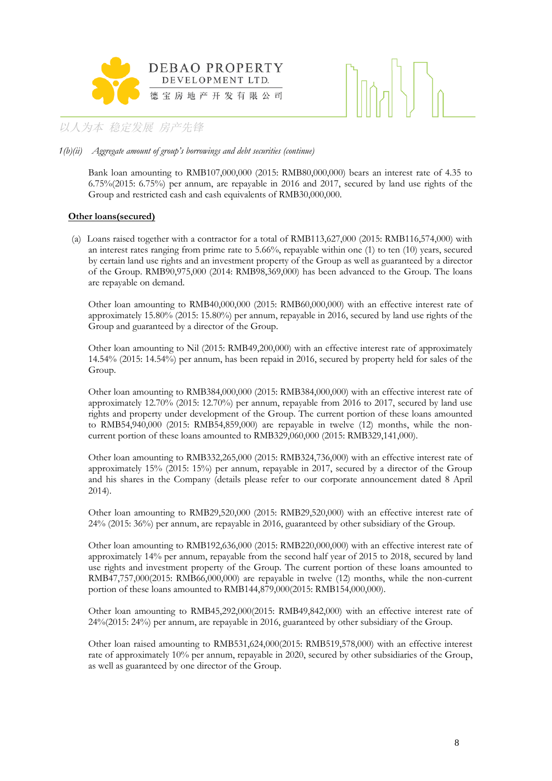



#### *1(b)(ii) Aggregate amount of group's borrowings and debt securities (continue)*

Bank loan amounting to RMB107,000,000 (2015: RMB80,000,000) bears an interest rate of 4.35 to 6.75%(2015: 6.75%) per annum, are repayable in 2016 and 2017, secured by land use rights of the Group and restricted cash and cash equivalents of RMB30,000,000.

#### **Other loans(secured)**

(a) Loans raised together with a contractor for a total of RMB113,627,000 (2015: RMB116,574,000) with an interest rates ranging from prime rate to 5.66%, repayable within one (1) to ten (10) years, secured by certain land use rights and an investment property of the Group as well as guaranteed by a director of the Group. RMB90,975,000 (2014: RMB98,369,000) has been advanced to the Group. The loans are repayable on demand.

Other loan amounting to RMB40,000,000 (2015: RMB60,000,000) with an effective interest rate of approximately 15.80% (2015: 15.80%) per annum, repayable in 2016, secured by land use rights of the Group and guaranteed by a director of the Group.

Other loan amounting to Nil (2015: RMB49,200,000) with an effective interest rate of approximately 14.54% (2015: 14.54%) per annum, has been repaid in 2016, secured by property held for sales of the Group.

Other loan amounting to RMB384,000,000 (2015: RMB384,000,000) with an effective interest rate of approximately 12.70% (2015: 12.70%) per annum, repayable from 2016 to 2017, secured by land use rights and property under development of the Group. The current portion of these loans amounted to RMB54,940,000 (2015: RMB54,859,000) are repayable in twelve (12) months, while the noncurrent portion of these loans amounted to RMB329,060,000 (2015: RMB329,141,000).

Other loan amounting to RMB332,265,000 (2015: RMB324,736,000) with an effective interest rate of approximately 15% (2015: 15%) per annum, repayable in 2017, secured by a director of the Group and his shares in the Company (details please refer to our corporate announcement dated 8 April 2014).

Other loan amounting to RMB29,520,000 (2015: RMB29,520,000) with an effective interest rate of 24% (2015: 36%) per annum, are repayable in 2016, guaranteed by other subsidiary of the Group.

Other loan amounting to RMB192,636,000 (2015: RMB220,000,000) with an effective interest rate of approximately 14% per annum, repayable from the second half year of 2015 to 2018, secured by land use rights and investment property of the Group. The current portion of these loans amounted to RMB47,757,000(2015: RMB66,000,000) are repayable in twelve (12) months, while the non-current portion of these loans amounted to RMB144,879,000(2015: RMB154,000,000).

Other loan amounting to RMB45,292,000(2015: RMB49,842,000) with an effective interest rate of 24%(2015: 24%) per annum, are repayable in 2016, guaranteed by other subsidiary of the Group.

Other loan raised amounting to RMB531,624,000(2015: RMB519,578,000) with an effective interest rate of approximately 10% per annum, repayable in 2020, secured by other subsidiaries of the Group, as well as guaranteed by one director of the Group.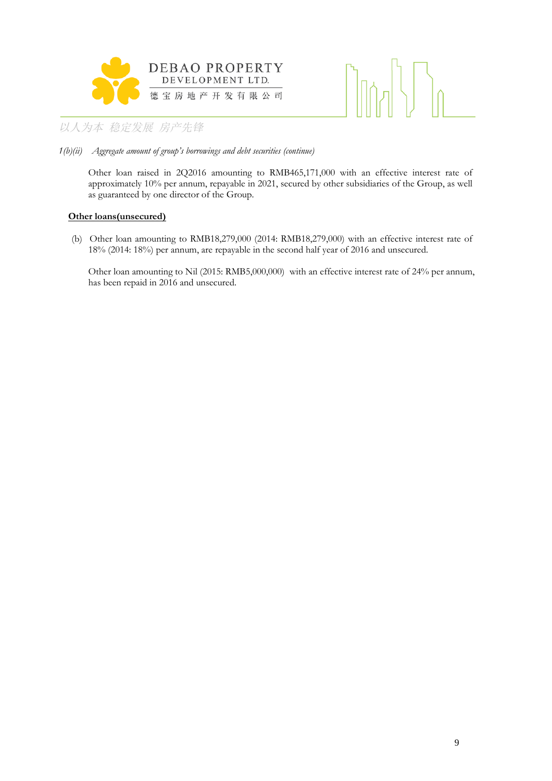



*1(b)(ii) Aggregate amount of group's borrowings and debt securities (continue)* 

Other loan raised in 2Q2016 amounting to RMB465,171,000 with an effective interest rate of approximately 10% per annum, repayable in 2021, secured by other subsidiaries of the Group, as well as guaranteed by one director of the Group.

#### **Other loans(unsecured)**

(b) Other loan amounting to RMB18,279,000 (2014: RMB18,279,000) with an effective interest rate of 18% (2014: 18%) per annum, are repayable in the second half year of 2016 and unsecured.

Other loan amounting to Nil (2015: RMB5,000,000) with an effective interest rate of 24% per annum, has been repaid in 2016 and unsecured.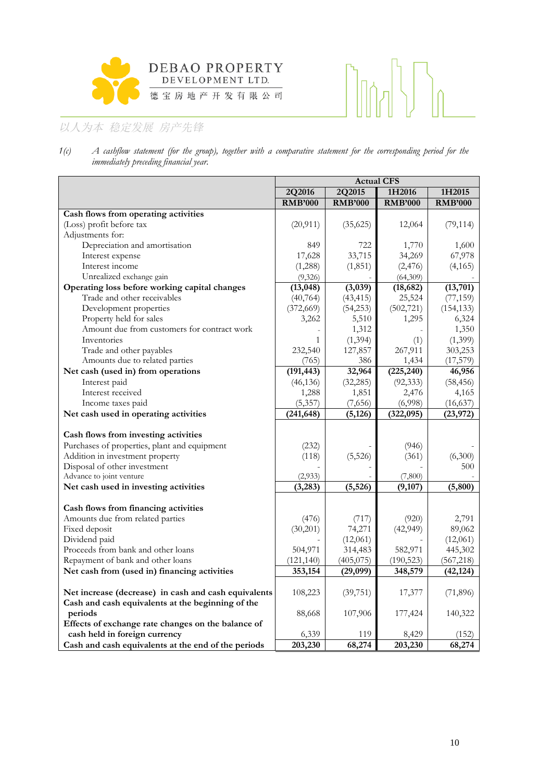



*1(c) A cashflow statement (for the group), together with a comparative statement for the corresponding period for the immediately preceding financial year.* 

|                                                      |                |                | <b>Actual CFS</b> |                |
|------------------------------------------------------|----------------|----------------|-------------------|----------------|
|                                                      | 2Q2016         | 2Q2015         | 1H2016            | 1H2015         |
|                                                      | <b>RMB'000</b> | <b>RMB'000</b> | <b>RMB'000</b>    | <b>RMB'000</b> |
| Cash flows from operating activities                 |                |                |                   |                |
| (Loss) profit before tax                             | (20, 911)      | (35,625)       | 12,064            | (79, 114)      |
| Adjustments for:                                     |                |                |                   |                |
| Depreciation and amortisation                        | 849            | 722            | 1,770             | 1,600          |
| Interest expense                                     | 17,628         | 33,715         | 34,269            | 67,978         |
| Interest income                                      | (1,288)        | (1, 851)       | (2, 476)          | (4, 165)       |
| Unrealized exchange gain                             | (9,326)        |                | (64,309)          |                |
| Operating loss before working capital changes        | (13, 048)      | (3,039)        | (18, 682)         | (13, 701)      |
| Trade and other receivables                          | (40, 764)      | (43, 415)      | 25,524            | (77, 159)      |
| Development properties                               | (372, 669)     | (54,253)       | (502, 721)        | (154, 133)     |
| Property held for sales                              | 3,262          | 5,510          | 1,295             | 6,324          |
| Amount due from customers for contract work          |                | 1,312          |                   | 1,350          |
| Inventories                                          | 1              | (1, 394)       | (1)               | (1,399)        |
| Trade and other payables                             | 232,540        | 127,857        | 267,911           | 303,253        |
| Amounts due to related parties                       | (765)          | 386            | 1,434             | (17,579)       |
| Net cash (used in) from operations                   | (191, 443)     | 32,964         | (225, 240)        | 46,956         |
| Interest paid                                        | (46, 136)      | (32, 285)      | (92, 333)         | (58, 456)      |
| Interest received                                    | 1,288          | 1,851          | 2,476             | 4,165          |
| Income taxes paid                                    | (5, 357)       | (7,656)        | (6,998)           | (16, 637)      |
| Net cash used in operating activities                | (241, 648)     | (5, 126)       | (322,095)         | (23, 972)      |
|                                                      |                |                |                   |                |
| Cash flows from investing activities                 |                |                |                   |                |
| Purchases of properties, plant and equipment         | (232)          |                | (946)             |                |
| Addition in investment property                      | (118)          | (5,526)        | (361)             | (6,300)        |
| Disposal of other investment                         |                |                |                   | 500            |
| Advance to joint venture                             | (2,933)        |                | (7,800)           |                |
| Net cash used in investing activities                | (3, 283)       | (5, 526)       | (9,107)           | (5,800)        |
|                                                      |                |                |                   |                |
| Cash flows from financing activities                 |                |                |                   |                |
| Amounts due from related parties                     | (476)          | (717)          | (920)             | 2,791          |
| Fixed deposit                                        | (30,201)       | 74,271         | (42, 949)         | 89,062         |
| Dividend paid                                        |                | (12,061)       |                   | (12,061)       |
| Proceeds from bank and other loans                   | 504,971        | 314,483        | 582,971           | 445,302        |
| Repayment of bank and other loans                    | (121, 140)     | (405, 075)     | (190, 523)        | (567, 218)     |
| Net cash from (used in) financing activities         | 353,154        | (29,099)       | 348,579           | (42, 124)      |
|                                                      |                |                |                   |                |
| Net increase (decrease) in cash and cash equivalents | 108,223        | (39,751)       | 17,377            | (71, 896)      |
| Cash and cash equivalents at the beginning of the    |                |                |                   |                |
| periods                                              | 88,668         | 107,906        | 177,424           | 140,322        |
| Effects of exchange rate changes on the balance of   |                |                |                   |                |
| cash held in foreign currency                        | 6,339          | 119            | 8,429             | (152)          |
| Cash and cash equivalents at the end of the periods  | 203,230        | 68,274         | 203,230           | 68,274         |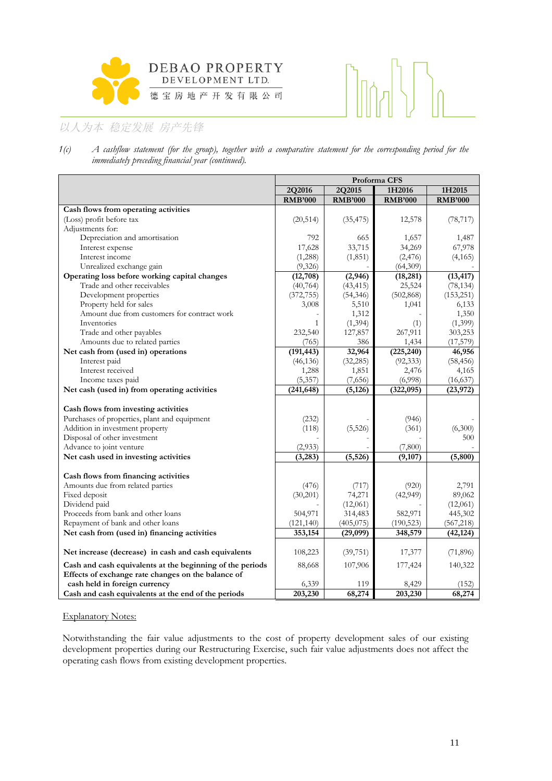



*1(c) A cashflow statement (for the group), together with a comparative statement for the corresponding period for the immediately preceding financial year (continued).* 

|                                                                                                                 | Proforma CFS   |                |                |                |  |  |
|-----------------------------------------------------------------------------------------------------------------|----------------|----------------|----------------|----------------|--|--|
|                                                                                                                 | 2Q2016         | 2Q2015         | 1H2016         | 1H2015         |  |  |
|                                                                                                                 | <b>RMB'000</b> | <b>RMB'000</b> | <b>RMB'000</b> | <b>RMB'000</b> |  |  |
| Cash flows from operating activities                                                                            |                |                |                |                |  |  |
| (Loss) profit before tax                                                                                        | (20, 514)      | (35, 475)      | 12,578         | (78, 717)      |  |  |
| Adjustments for:                                                                                                |                |                |                |                |  |  |
| Depreciation and amortisation                                                                                   | 792            | 665            | 1,657          | 1,487          |  |  |
| Interest expense                                                                                                | 17,628         | 33,715         | 34,269         | 67,978         |  |  |
| Interest income                                                                                                 | (1,288)        | (1, 851)       | (2, 476)       | (4,165)        |  |  |
| Unrealized exchange gain                                                                                        | (9,326)        |                | (64,309)       |                |  |  |
| Operating loss before working capital changes                                                                   | (12,708)       | (2, 946)       | (18, 281)      | (13, 417)      |  |  |
| Trade and other receivables                                                                                     | (40,764)       | (43, 415)      | 25,524         | (78, 134)      |  |  |
| Development properties                                                                                          | (372, 755)     | (54, 346)      | (502, 868)     | (153, 251)     |  |  |
| Property held for sales                                                                                         | 3,008          | 5,510          | 1,041          | 6,133          |  |  |
| Amount due from customers for contract work                                                                     |                | 1,312          |                | 1,350          |  |  |
| Inventories                                                                                                     | 1              | (1, 394)       | (1)            | (1,399)        |  |  |
| Trade and other payables                                                                                        | 232,540        | 127,857        | 267,911        | 303,253        |  |  |
| Amounts due to related parties                                                                                  | (765)          | 386            | 1,434          | (17,579)       |  |  |
| Net cash from (used in) operations                                                                              | (191, 443)     | 32,964         | (225, 240)     | 46,956         |  |  |
| Interest paid                                                                                                   | (46, 136)      | (32, 285)      | (92, 333)      | (58, 456)      |  |  |
| Interest received                                                                                               | 1,288          | 1,851          | 2,476          | 4,165          |  |  |
| Income taxes paid                                                                                               | (5,357)        | (7,656)        | (6,998)        | (16, 637)      |  |  |
| Net cash (used in) from operating activities                                                                    | (241, 648)     | (5, 126)       | (322,095)      | (23, 972)      |  |  |
|                                                                                                                 |                |                |                |                |  |  |
| Cash flows from investing activities                                                                            |                |                |                |                |  |  |
| Purchases of properties, plant and equipment                                                                    | (232)          |                | (946)          |                |  |  |
| Addition in investment property                                                                                 | (118)          | (5,526)        | (361)          | (6,300)        |  |  |
| Disposal of other investment                                                                                    |                |                |                | 500            |  |  |
| Advance to joint venture                                                                                        | (2,933)        |                | (7,800)        |                |  |  |
| Net cash used in investing activities                                                                           | (3, 283)       | (5, 526)       | (9,107)        | (5,800)        |  |  |
|                                                                                                                 |                |                |                |                |  |  |
| Cash flows from financing activities                                                                            |                |                |                |                |  |  |
| Amounts due from related parties                                                                                | (476)          | (717)          | (920)          | 2,791          |  |  |
| Fixed deposit                                                                                                   | (30,201)       | 74,271         | (42, 949)      | 89,062         |  |  |
| Dividend paid                                                                                                   |                | (12,061)       |                | (12,061)       |  |  |
| Proceeds from bank and other loans                                                                              | 504,971        | 314,483        | 582,971        | 445,302        |  |  |
| Repayment of bank and other loans                                                                               | (121, 140)     | (405, 075)     | (190, 523)     | (567,218)      |  |  |
| Net cash from (used in) financing activities                                                                    | 353,154        | (29,099)       | 348,579        | (42, 124)      |  |  |
| Net increase (decrease) in cash and cash equivalents                                                            | 108,223        | (39,751)       | 17,377         | (71,896)       |  |  |
|                                                                                                                 |                | 107,906        |                |                |  |  |
| Cash and cash equivalents at the beginning of the periods<br>Effects of exchange rate changes on the balance of | 88,668         |                | 177,424        | 140,322        |  |  |
| cash held in foreign currency                                                                                   | 6,339          | 119            | 8,429          | (152)          |  |  |
| Cash and cash equivalents at the end of the periods                                                             | 203,230        | 68,274         | 203,230        | 68,274         |  |  |
|                                                                                                                 |                |                |                |                |  |  |

#### Explanatory Notes:

Notwithstanding the fair value adjustments to the cost of property development sales of our existing development properties during our Restructuring Exercise, such fair value adjustments does not affect the operating cash flows from existing development properties.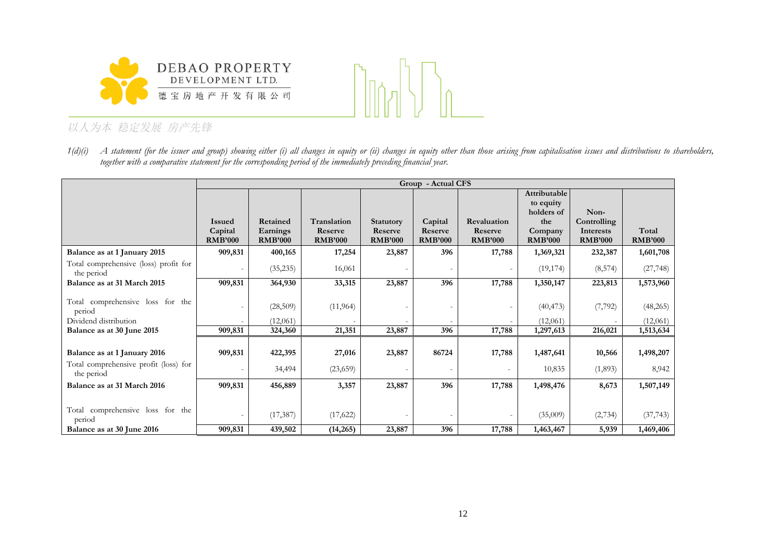



 $1(d)(i)$  A statement (for the issuer and group) showing either (i) all changes in equity or (ii) changes in equity other than those arising from capitalisation issues and distributions to shareholders, together with a comparative statement for the corresponding period of the immediately preceding financial year.

|                                                     |                | Group - Actual CFS |                |                  |                    |                |                   |                     |                |
|-----------------------------------------------------|----------------|--------------------|----------------|------------------|--------------------|----------------|-------------------|---------------------|----------------|
|                                                     |                |                    |                |                  |                    |                | Attributable      |                     |                |
|                                                     |                |                    |                |                  |                    |                | to equity         |                     |                |
|                                                     | <b>Issued</b>  | Retained           | Translation    | <b>Statutory</b> |                    | Revaluation    | holders of<br>the | Non-<br>Controlling |                |
|                                                     | Capital        | Earnings           | Reserve        | Reserve          | Capital<br>Reserve | Reserve        | Company           | Interests           | Total          |
|                                                     | <b>RMB'000</b> | <b>RMB'000</b>     | <b>RMB'000</b> | <b>RMB'000</b>   | <b>RMB'000</b>     | <b>RMB'000</b> | <b>RMB'000</b>    | <b>RMB'000</b>      | <b>RMB'000</b> |
| Balance as at 1 January 2015                        | 909,831        | 400,165            | 17,254         | 23,887           | 396                | 17,788         | 1,369,321         | 232,387             | 1,601,708      |
| Total comprehensive (loss) profit for<br>the period |                | (35, 235)          | 16,061         |                  |                    |                | (19, 174)         | (8, 574)            | (27, 748)      |
| Balance as at 31 March 2015                         | 909,831        | 364,930            | 33,315         | 23,887           | 396                | 17,788         | 1,350,147         | 223,813             | 1,573,960      |
| Total comprehensive loss for the<br>period          |                | (28, 509)          | (11, 964)      |                  |                    |                | (40, 473)         | (7, 792)            | (48, 265)      |
| Dividend distribution                               |                | (12,061)           |                |                  |                    |                | (12,061)          |                     | (12,061)       |
| Balance as at 30 June 2015                          | 909,831        | 324,360            | 21,351         | 23,887           | 396                | 17,788         | 1,297,613         | 216,021             | 1,513,634      |
|                                                     |                |                    |                |                  |                    |                |                   |                     |                |
| Balance as at 1 January 2016                        | 909,831        | 422,395            | 27,016         | 23,887           | 86724              | 17,788         | 1,487,641         | 10,566              | 1,498,207      |
| Total comprehensive profit (loss) for<br>the period |                | 34,494             | (23,659)       |                  |                    |                | 10,835            | (1,893)             | 8,942          |
| Balance as at 31 March 2016                         | 909,831        | 456,889            | 3,357          | 23,887           | 396                | 17,788         | 1,498,476         | 8,673               | 1,507,149      |
|                                                     |                |                    |                |                  |                    |                |                   |                     |                |
| Total comprehensive loss for the<br>period          |                | (17, 387)          | (17, 622)      |                  |                    |                | (35,009)          | (2,734)             | (37, 743)      |
| Balance as at 30 June 2016                          | 909,831        | 439,502            | (14, 265)      | 23,887           | 396                | 17,788         | 1,463,467         | 5,939               | 1,469,406      |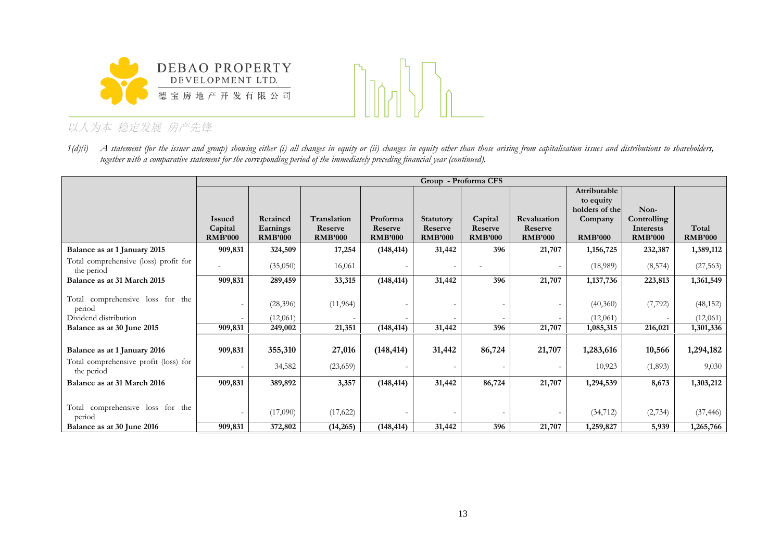



 $1(d)(i)$  A statement (for the issuer and group) showing either (i) all changes in equity or (ii) changes in equity other than those arising from capitalisation issues and distributions to shareholders,<br>together with a comp

|                                                     |                |                |                |                |                  | Group - Proforma CFS |                |                |                |                |
|-----------------------------------------------------|----------------|----------------|----------------|----------------|------------------|----------------------|----------------|----------------|----------------|----------------|
|                                                     |                |                |                |                |                  |                      |                | Attributable   |                |                |
|                                                     |                |                |                |                |                  |                      |                | to equity      |                |                |
|                                                     |                |                |                |                |                  |                      |                | holders of the | Non-           |                |
|                                                     | <b>Issued</b>  | Retained       | Translation    | Proforma       | <b>Statutory</b> | Capital              | Revaluation    | Company        | Controlling    |                |
|                                                     | Capital        | Earnings       | Reserve        | Reserve        | Reserve          | Reserve              | Reserve        |                | Interests      | Total          |
|                                                     | <b>RMB'000</b> | <b>RMB'000</b> | <b>RMB'000</b> | <b>RMB'000</b> | <b>RMB'000</b>   | <b>RMB'000</b>       | <b>RMB'000</b> | <b>RMB'000</b> | <b>RMB'000</b> | <b>RMB'000</b> |
| Balance as at 1 January 2015                        | 909,831        | 324,509        | 17,254         | (148, 414)     | 31,442           | 396                  | 21,707         | 1,156,725      | 232,387        | 1,389,112      |
| Total comprehensive (loss) profit for<br>the period |                | (35,050)       | 16,061         |                |                  |                      |                | (18,989)       | (8, 574)       | (27, 563)      |
| Balance as at 31 March 2015                         | 909,831        | 289,459        | 33,315         | (148, 414)     | 31,442           | 396                  | 21,707         | 1, 137, 736    | 223,813        | 1,361,549      |
|                                                     |                |                |                |                |                  |                      |                |                |                |                |
| Total comprehensive loss for the<br>period          |                | (28,396)       | (11, 964)      |                |                  |                      |                | (40,360)       | (7, 792)       | (48, 152)      |
| Dividend distribution                               |                | (12,061)       |                |                |                  |                      |                | (12,061)       |                | (12,061)       |
| Balance as at 30 June 2015                          | 909,831        | 249,002        | 21,351         | (148, 414)     | 31,442           | 396                  | 21,707         | 1,085,315      | 216,021        | 1,301,336      |
|                                                     |                |                |                |                |                  |                      |                |                |                |                |
| Balance as at 1 January 2016                        | 909,831        | 355,310        | 27,016         | (148, 414)     | 31,442           | 86,724               | 21,707         | 1,283,616      | 10,566         | 1,294,182      |
| Total comprehensive profit (loss) for<br>the period |                | 34,582         | (23,659)       |                |                  |                      |                | 10,923         | (1,893)        | 9,030          |
| Balance as at 31 March 2016                         | 909,831        | 389,892        | 3,357          | (148, 414)     | 31,442           | 86,724               | 21,707         | 1,294,539      | 8,673          | 1,303,212      |
|                                                     |                |                |                |                |                  |                      |                |                |                |                |
| Total comprehensive loss for the<br>period          |                | (17,090)       | (17, 622)      |                |                  |                      |                | (34, 712)      | (2,734)        | (37, 446)      |
| Balance as at 30 June 2016                          | 909,831        | 372,802        | (14, 265)      | (148, 414)     | 31,442           | 396                  | 21,707         | 1,259,827      | 5,939          | 1,265,766      |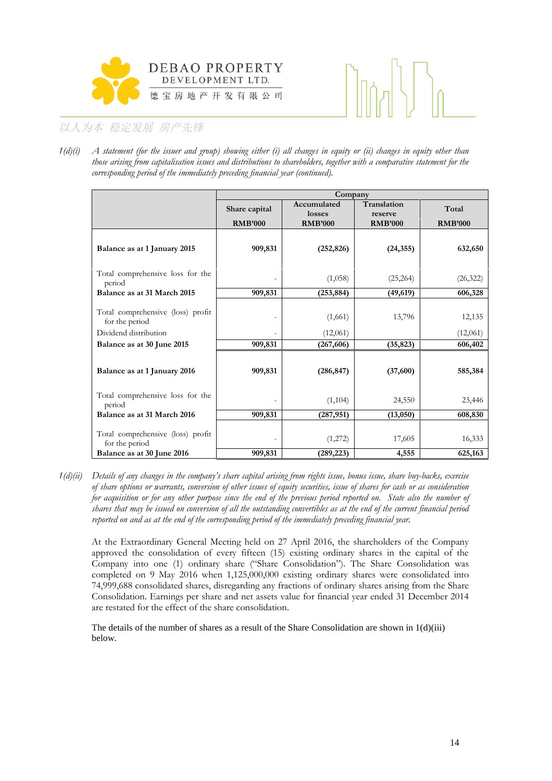



 $1(d)(i)$  A statement (for the issuer and group) showing either (i) all changes in equity or (ii) changes in equity other than those arising from capitalisation issues and distributions to shareholders, together with a comparative statement for the corresponding period of the immediately preceding financial year (continued).

|                                                     |                | Company                  |                           |                |
|-----------------------------------------------------|----------------|--------------------------|---------------------------|----------------|
|                                                     | Share capital  | Accumulated              | Translation               | Total          |
|                                                     | <b>RMB'000</b> | losses<br><b>RMB'000</b> | reserve<br><b>RMB'000</b> | <b>RMB'000</b> |
|                                                     |                |                          |                           |                |
| Balance as at 1 January 2015                        | 909,831        | (252, 826)               | (24, 355)                 | 632,650        |
| Total comprehensive loss for the<br>period          |                | (1,058)                  | (25,264)                  | (26, 322)      |
| Balance as at 31 March 2015                         | 909,831        | (253, 884)               | (49, 619)                 | 606,328        |
|                                                     |                |                          |                           |                |
| Total comprehensive (loss) profit<br>for the period |                | (1,661)                  | 13,796                    | 12,135         |
| Dividend distribution                               |                | (12,061)                 |                           | (12,061)       |
| Balance as at 30 June 2015                          | 909,831        | (267, 606)               | (35, 823)                 | 606,402        |
| Balance as at 1 January 2016                        | 909,831        | (286, 847)               | (37,600)                  | 585,384        |
| Total comprehensive loss for the<br>period          |                | (1,104)                  | 24,550                    | 23,446         |
| Balance as at 31 March 2016                         | 909,831        | (287, 951)               | (13,050)                  | 608,830        |
| Total comprehensive (loss) profit<br>for the period |                | (1,272)                  | 17,605                    | 16,333         |
| Balance as at 30 June 2016                          | 909,831        | (289, 223)               | 4,555                     | 625,163        |

1(d)(ii) Details of any changes in the company's share capital arising from rights issue, bonus issue, share buy-backs, exercise of share options or warrants, conversion of other issues of equity securities, issue of shares for cash or as consideration for acquisition or for any other purpose since the end of the previous period reported on. State also the number of shares that may be issued on conversion of all the outstanding convertibles as at the end of the current financial period reported on and as at the end of the corresponding period of the immediately preceding financial year.

At the Extraordinary General Meeting held on 27 April 2016, the shareholders of the Company approved the consolidation of every fifteen (15) existing ordinary shares in the capital of the Company into one (1) ordinary share ("Share Consolidation"). The Share Consolidation was completed on 9 May 2016 when 1,125,000,000 existing ordinary shares were consolidated into 74,999,688 consolidated shares, disregarding any fractions of ordinary shares arising from the Share Consolidation. Earnings per share and net assets value for financial year ended 31 December 2014 are restated for the effect of the share consolidation.

The details of the number of shares as a result of the Share Consolidation are shown in  $1(d)(iii)$ below.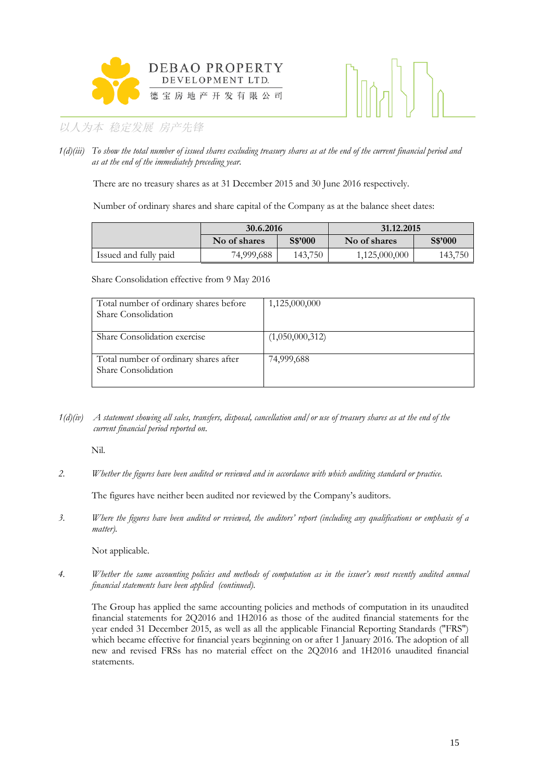



*1(d)(iii)* To show the total number of issued shares excluding treasury shares as at the end of the current financial period and *as at the end of the immediately preceding year.* 

There are no treasury shares as at 31 December 2015 and 30 June 2016 respectively.

Number of ordinary shares and share capital of the Company as at the balance sheet dates:

|                       | 30.6.2016    |         | 31.12.2015    |         |  |  |
|-----------------------|--------------|---------|---------------|---------|--|--|
|                       | No of shares | S\$'000 | No of shares  | S\$'000 |  |  |
| Issued and fully paid | 74,999,688   | 143,750 | 1,125,000,000 | 143,750 |  |  |

Share Consolidation effective from 9 May 2016

| Total number of ordinary shares before | 1,125,000,000   |
|----------------------------------------|-----------------|
| Share Consolidation                    |                 |
|                                        |                 |
| Share Consolidation exercise           | (1,050,000,312) |
|                                        |                 |
| Total number of ordinary shares after  | 74,999,688      |
| Share Consolidation                    |                 |
|                                        |                 |

*1(d)(iv) A statement showing all sales, transfers, disposal, cancellation and/or use of treasury shares as at the end of the current financial period reported on.* 

Nil.

2. *Whether the figures have been audited or reviewed and in accordance with which auditing standard or practice.* 

The figures have neither been audited nor reviewed by the Company's auditors.

3. *Where the figures have been audited or reviewed, the auditors' report (including any qualifications or emphasis of a matter).*

Not applicable.

4. Whether the same accounting policies and methods of computation as in the issuer's most recently audited annual *financial statements have been applied (continued).* 

The Group has applied the same accounting policies and methods of computation in its unaudited financial statements for 2Q2016 and 1H2016 as those of the audited financial statements for the year ended 31 December 2015, as well as all the applicable Financial Reporting Standards ("FRS") which became effective for financial years beginning on or after 1 January 2016. The adoption of all new and revised FRSs has no material effect on the 2Q2016 and 1H2016 unaudited financial statements.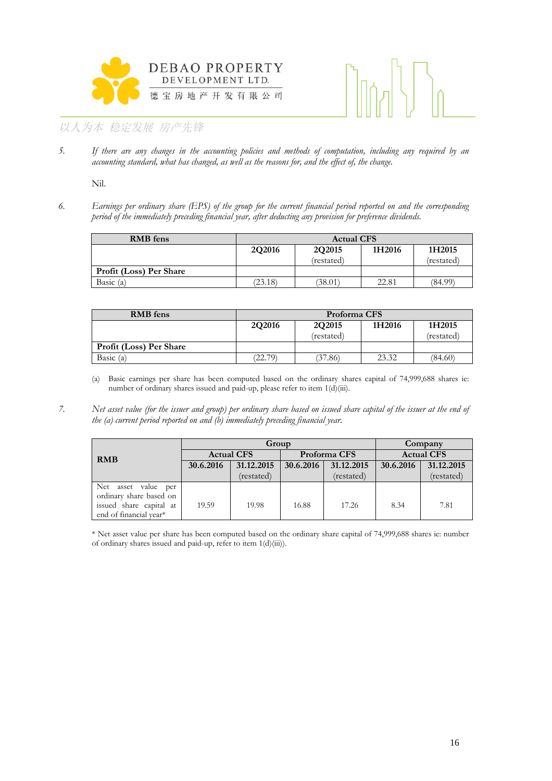



5. If there are any changes in the accounting policies and methods of computation, including any required by an accounting standard, what has changed, as well as the reasons for, and the effect of, the change.

Nil.

Earnings per ordinary share (EPS) of the group for the current financial period reported on and the corresponding 6. period of the immediately preceding financial year, after deducting any provision for preference dividends.

| <b>RMB</b> fens         | <b>Actual CFS</b> |            |        |            |  |
|-------------------------|-------------------|------------|--------|------------|--|
|                         | 2Q2016            | 2Q2015     | 1H2016 | 1H2015     |  |
|                         |                   | (restated) |        | (restated) |  |
| Profit (Loss) Per Share |                   |            |        |            |  |
| Basic $(a)$             | (23.18)           | (38.01)    | 22.81  | (84.99)    |  |

| <b>RMB</b> fens         | Proforma CFS |            |        |            |  |
|-------------------------|--------------|------------|--------|------------|--|
|                         | 2Q2016       | 2Q2015     | 1H2016 | 1H2015     |  |
|                         |              | (restated) |        | (restated) |  |
| Profit (Loss) Per Share |              |            |        |            |  |
| Basic $(a)$             | (22.79)      | (37.86)    | 23.32  | (84.60)    |  |

 $(a)$ Basic earnings per share has been computed based on the ordinary shares capital of 74,999,688 shares ie: number of ordinary shares issued and paid-up, please refer to item 1(d)(iii).

7. Net asset value (for the issuer and group) per ordinary share based on issued share capital of the issuer at the end of the (a) current period reported on and (b) immediately preceding financial year.

| Group                   |                   |            |           |              | Company   |                   |  |
|-------------------------|-------------------|------------|-----------|--------------|-----------|-------------------|--|
| <b>RMB</b>              | <b>Actual CFS</b> |            |           | Proforma CFS |           | <b>Actual CFS</b> |  |
|                         | 30.6.2016         | 31.12.2015 | 30.6.2016 | 31.12.2015   | 30.6.2016 | 31.12.2015        |  |
|                         |                   | (restated) |           | (restated)   |           | (restated)        |  |
| Net<br>asset value per  |                   |            |           |              |           |                   |  |
| ordinary share based on |                   |            |           |              |           |                   |  |
| issued share capital at | 19.59             | 19.98      | 16.88     | 17.26        | 8.34      | 7.81              |  |
| end of financial year*  |                   |            |           |              |           |                   |  |

\* Net asset value per share has been computed based on the ordinary share capital of 74,999,688 shares ie: number of ordinary shares issued and paid-up, refer to item 1(d)(iii)).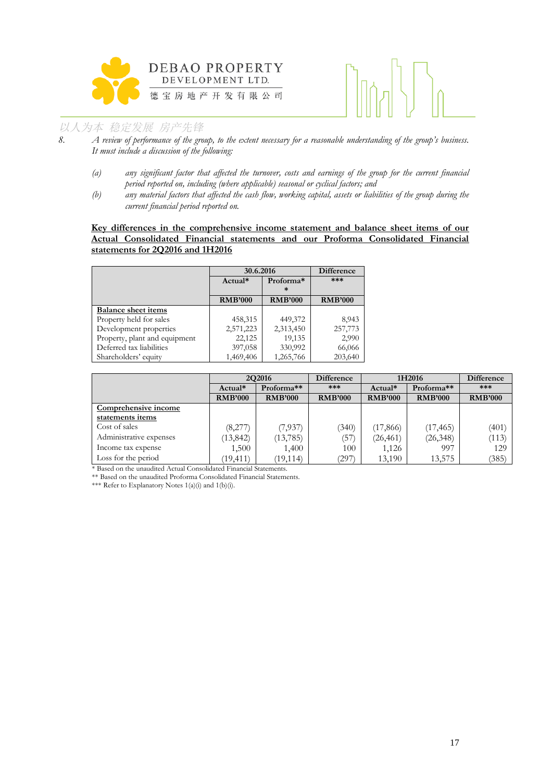



- 8. *A review of performance of the group, to the extent necessary for a reasonable understanding of the group's business.* It must include a discussion of the following:
	- (a) any significant factor that affected the turnover, costs and earnings of the group for the current financial period reported on, including (where applicable) seasonal or cyclical factors; and
	- (b) any material factors that affected the cash flow, working capital, assets or liabilities of the group during the *current financial period reported on.*

#### **Key differences in the comprehensive income statement and balance sheet items of our Actual Consolidated Financial statements and our Proforma Consolidated Financial statements for 2Q2016 and 1H2016**

|                               |                | 30.6.2016      |                |  |
|-------------------------------|----------------|----------------|----------------|--|
|                               | Actual*        | Proforma*      | $***$          |  |
|                               | <b>RMB'000</b> | <b>RMB'000</b> | <b>RMB'000</b> |  |
| <b>Balance sheet items</b>    |                |                |                |  |
| Property held for sales       | 458,315        | 449,372        | 8,943          |  |
| Development properties        | 2,571,223      | 2,313,450      | 257,773        |  |
| Property, plant and equipment | 22,125         | 19,135         | 2,990          |  |
| Deferred tax liabilities      | 397,058        | 330,992        | 66,066         |  |
| Shareholders' equity          | 1,469,406      | 1,265,766      | 203,640        |  |

|                         | 2Q2016         |                | <b>Difference</b> | 1H2016         |                |                |
|-------------------------|----------------|----------------|-------------------|----------------|----------------|----------------|
|                         | Actual*        | Proforma**     | ***               | $Actual*$      | Proforma**     | $***$          |
|                         | <b>RMB'000</b> | <b>RMB'000</b> | <b>RMB'000</b>    | <b>RMB'000</b> | <b>RMB'000</b> | <b>RMB'000</b> |
| Comprehensive income    |                |                |                   |                |                |                |
| statements items        |                |                |                   |                |                |                |
| Cost of sales           | (8,277)        | 7,937)         | (340)             | (17, 866)      | (17, 465)      | (401)          |
| Administrative expenses | (13, 842)      | (13, 785)      | 37)               | (26, 461)      | (26, 348)      | (113)          |
| Income tax expense      | 1,500          | 1,400          | 100               | 1,126          | 997            | 129            |
| Loss for the period     | (19,411)       | (19,114)       | (297              | 13,190         | 13,575         | (385)          |

\* Based on the unaudited Actual Consolidated Financial Statements.

\*\* Based on the unaudited Proforma Consolidated Financial Statements.

\*\*\* Refer to Explanatory Notes 1(a)(i) and 1(b)(i).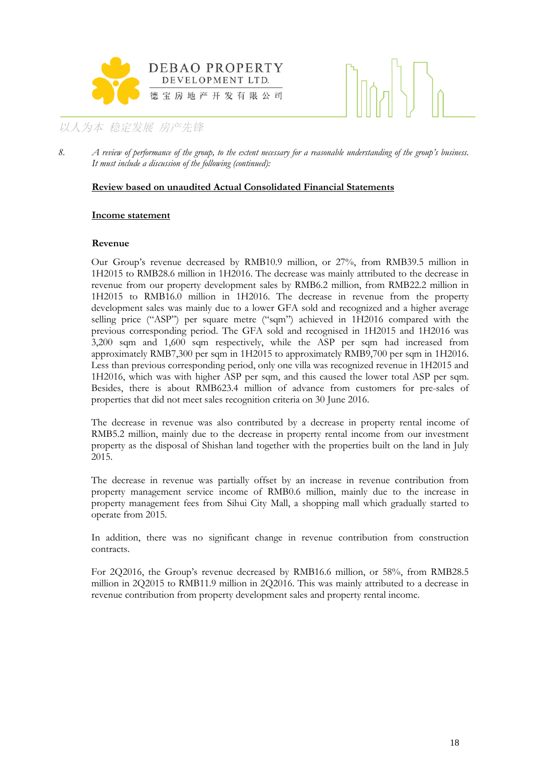



8. *A review of performance of the group, to the extent necessary for a reasonable understanding of the group's business.* It must include a discussion of the following (continued):

## **Review based on unaudited Actual Consolidated Financial Statements**

## **Income statement**

#### **Revenue**

Our Group's revenue decreased by RMB10.9 million, or 27%, from RMB39.5 million in 1H2015 to RMB28.6 million in 1H2016. The decrease was mainly attributed to the decrease in revenue from our property development sales by RMB6.2 million, from RMB22.2 million in 1H2015 to RMB16.0 million in 1H2016. The decrease in revenue from the property development sales was mainly due to a lower GFA sold and recognized and a higher average selling price ("ASP") per square metre ("sqm") achieved in 1H2016 compared with the previous corresponding period. The GFA sold and recognised in 1H2015 and 1H2016 was 3,200 sqm and 1,600 sqm respectively, while the ASP per sqm had increased from approximately RMB7,300 per sqm in 1H2015 to approximately RMB9,700 per sqm in 1H2016. Less than previous corresponding period, only one villa was recognized revenue in 1H2015 and 1H2016, which was with higher ASP per sqm, and this caused the lower total ASP per sqm. Besides, there is about RMB623.4 million of advance from customers for pre-sales of properties that did not meet sales recognition criteria on 30 June 2016.

The decrease in revenue was also contributed by a decrease in property rental income of RMB5.2 million, mainly due to the decrease in property rental income from our investment property as the disposal of Shishan land together with the properties built on the land in July 2015.

The decrease in revenue was partially offset by an increase in revenue contribution from property management service income of RMB0.6 million, mainly due to the increase in property management fees from Sihui City Mall, a shopping mall which gradually started to operate from 2015.

In addition, there was no significant change in revenue contribution from construction contracts.

For 2Q2016, the Group's revenue decreased by RMB16.6 million, or 58%, from RMB28.5 million in 2Q2015 to RMB11.9 million in 2Q2016. This was mainly attributed to a decrease in revenue contribution from property development sales and property rental income.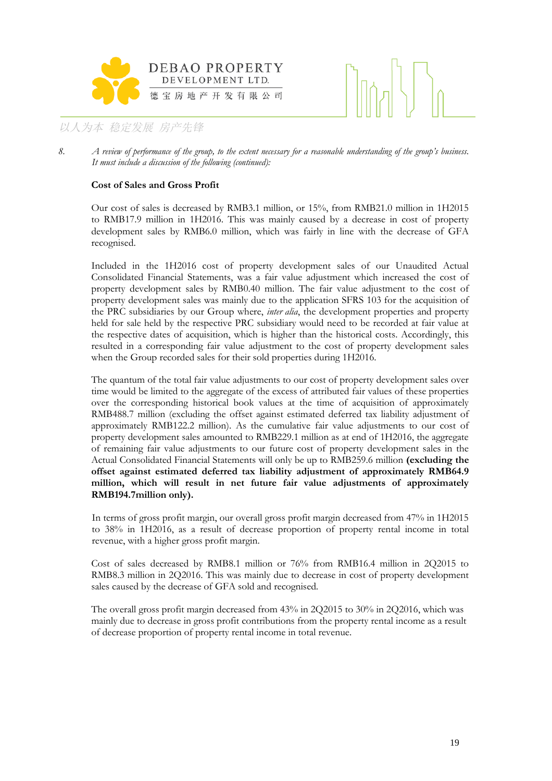



#### **Cost of Sales and Gross Profit**

Our cost of sales is decreased by RMB3.1 million, or 15%, from RMB21.0 million in 1H2015 to RMB17.9 million in 1H2016. This was mainly caused by a decrease in cost of property development sales by RMB6.0 million, which was fairly in line with the decrease of GFA recognised.

Included in the 1H2016 cost of property development sales of our Unaudited Actual Consolidated Financial Statements, was a fair value adjustment which increased the cost of property development sales by RMB0.40 million. The fair value adjustment to the cost of property development sales was mainly due to the application SFRS 103 for the acquisition of the PRC subsidiaries by our Group where, *interalia*, the development properties and property held for sale held by the respective PRC subsidiary would need to be recorded at fair value at the respective dates of acquisition, which is higher than the historical costs. Accordingly, this resulted in a corresponding fair value adjustment to the cost of property development sales when the Group recorded sales for their sold properties during 1H2016.

The quantum of the total fair value adjustments to our cost of property development sales over time would be limited to the aggregate of the excess of attributed fair values of these properties over the corresponding historical book values at the time of acquisition of approximately RMB488.7 million (excluding the offset against estimated deferred tax liability adjustment of approximately RMB122.2 million). As the cumulative fair value adjustments to our cost of property development sales amounted to RMB229.1 million as at end of 1H2016, the aggregate of remaining fair value adjustments to our future cost of property development sales in the Actual Consolidated Financial Statements will only be up to RMB259.6 million **(excluding the offset against estimated deferred tax liability adjustment of approximately RMB64.9 million, which will result in net future fair value adjustments of approximately RMB194.7million only).**

In terms of gross profit margin, our overall gross profit margin decreased from 47% in 1H2015 to 38% in 1H2016, as a result of decrease proportion of property rental income in total revenue, with a higher gross profit margin.

Cost of sales decreased by RMB8.1 million or 76% from RMB16.4 million in 2Q2015 to RMB8.3 million in 2Q2016. This was mainly due to decrease in cost of property development sales caused by the decrease of GFA sold and recognised.

The overall gross profit margin decreased from 43% in 2Q2015 to 30% in 2Q2016, which was mainly due to decrease in gross profit contributions from the property rental income as a result of decrease proportion of property rental income in total revenue.

<sup>8.</sup> *A review of performance of the group, to the extent necessary for a reasonable understanding of the group's business.* It must include a discussion of the following (continued):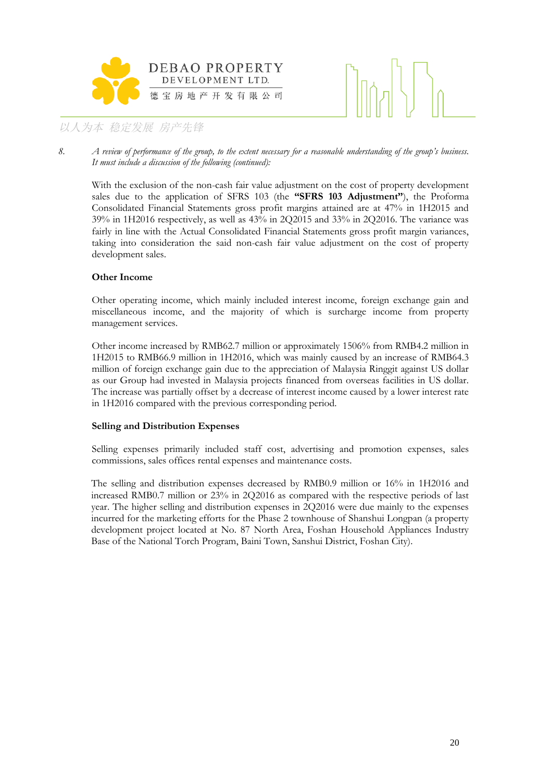



8. *A review of performance of the group, to the extent necessary for a reasonable understanding of the group's business.* It must include a discussion of the following (continued):

With the exclusion of the non-cash fair value adjustment on the cost of property development sales due to the application of SFRS 103 (the **"SFRS 103 Adjustment"**), the Proforma Consolidated Financial Statements gross profit margins attained are at 47% in 1H2015 and 39% in 1H2016 respectively, as well as 43% in 2Q2015 and 33% in 2Q2016. The variance was fairly in line with the Actual Consolidated Financial Statements gross profit margin variances, taking into consideration the said non-cash fair value adjustment on the cost of property development sales.

## **Other Income**

Other operating income, which mainly included interest income, foreign exchange gain and miscellaneous income, and the majority of which is surcharge income from property management services.

Other income increased by RMB62.7 million or approximately 1506% from RMB4.2 million in 1H2015 to RMB66.9 million in 1H2016, which was mainly caused by an increase of RMB64.3 million of foreign exchange gain due to the appreciation of Malaysia Ringgit against US dollar as our Group had invested in Malaysia projects financed from overseas facilities in US dollar. The increase was partially offset by a decrease of interest income caused by a lower interest rate in 1H2016 compared with the previous corresponding period.

## **Selling and Distribution Expenses**

Selling expenses primarily included staff cost, advertising and promotion expenses, sales commissions, sales offices rental expenses and maintenance costs.

The selling and distribution expenses decreased by RMB0.9 million or 16% in 1H2016 and increased RMB0.7 million or 23% in 2Q2016 as compared with the respective periods of last year. The higher selling and distribution expenses in 2Q2016 were due mainly to the expenses incurred for the marketing efforts for the Phase 2 townhouse of Shanshui Longpan (a property development project located at No. 87 North Area, Foshan Household Appliances Industry Base of the National Torch Program, Baini Town, Sanshui District, Foshan City).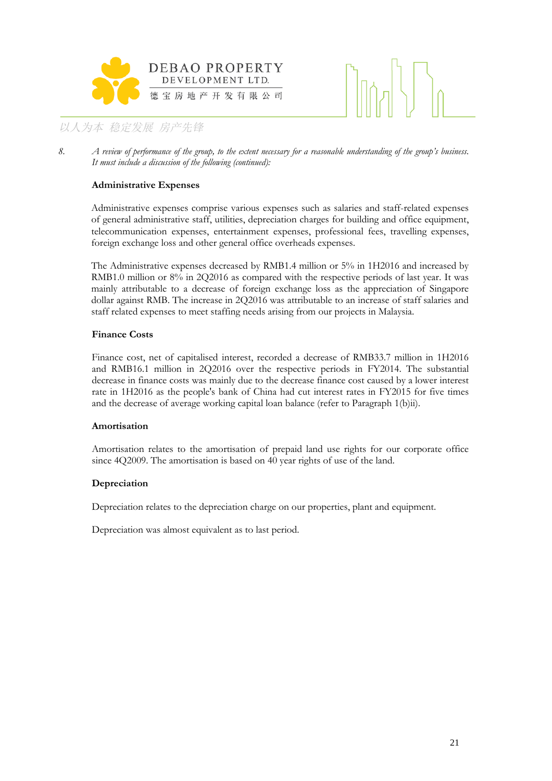



8. *A review of performance of the group, to the extent necessary for a reasonable understanding of the group's business.* It must include a discussion of the following (continued):

## **Administrative Expenses**

Administrative expenses comprise various expenses such as salaries and staff-related expenses of general administrative staff, utilities, depreciation charges for building and office equipment, telecommunication expenses, entertainment expenses, professional fees, travelling expenses, foreign exchange loss and other general office overheads expenses.

The Administrative expenses decreased by RMB1.4 million or 5% in 1H2016 and increased by RMB1.0 million or 8% in 2Q2016 as compared with the respective periods of last year. It was mainly attributable to a decrease of foreign exchange loss as the appreciation of Singapore dollar against RMB. The increase in 2Q2016 was attributable to an increase of staff salaries and staff related expenses to meet staffing needs arising from our projects in Malaysia.

## **Finance Costs**

Finance cost, net of capitalised interest, recorded a decrease of RMB33.7 million in 1H2016 and RMB16.1 million in 2Q2016 over the respective periods in FY2014. The substantial decrease in finance costs was mainly due to the decrease finance cost caused by a lower interest rate in 1H2016 as the people's bank of China had cut interest rates in FY2015 for five times and the decrease of average working capital loan balance (refer to Paragraph 1(b)ii).

#### **Amortisation**

Amortisation relates to the amortisation of prepaid land use rights for our corporate office since 4Q2009. The amortisation is based on 40 year rights of use of the land.

## **Depreciation**

Depreciation relates to the depreciation charge on our properties, plant and equipment.

Depreciation was almost equivalent as to last period.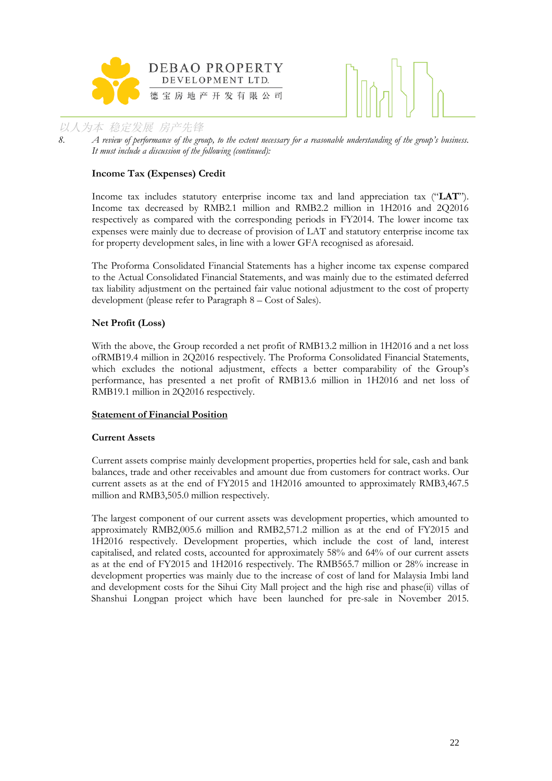



8. *A review of performance of the group, to the extent necessary for a reasonable understanding of the group's business.* It must include a discussion of the following (continued):

## **Income Tax (Expenses) Credit**

Income tax includes statutory enterprise income tax and land appreciation tax ("**LAT**"). Income tax decreased by RMB2.1 million and RMB2.2 million in 1H2016 and 2Q2016 respectively as compared with the corresponding periods in FY2014. The lower income tax expenses were mainly due to decrease of provision of LAT and statutory enterprise income tax for property development sales, in line with a lower GFA recognised as aforesaid.

The Proforma Consolidated Financial Statements has a higher income tax expense compared to the Actual Consolidated Financial Statements, and was mainly due to the estimated deferred tax liability adjustment on the pertained fair value notional adjustment to the cost of property development (please refer to Paragraph 8 – Cost of Sales).

#### **Net Profit (Loss)**

With the above, the Group recorded a net profit of RMB13.2 million in 1H2016 and a net loss ofRMB19.4 million in 2Q2016 respectively. The Proforma Consolidated Financial Statements, which excludes the notional adjustment, effects a better comparability of the Group's performance, has presented a net profit of RMB13.6 million in 1H2016 and net loss of RMB19.1 million in 2Q2016 respectively.

#### **Statement of Financial Position**

#### **Current Assets**

Current assets comprise mainly development properties, properties held for sale, cash and bank balances, trade and other receivables and amount due from customers for contract works. Our current assets as at the end of FY2015 and 1H2016 amounted to approximately RMB3,467.5 million and RMB3,505.0 million respectively.

The largest component of our current assets was development properties, which amounted to approximately RMB2,005.6 million and RMB2,571.2 million as at the end of FY2015 and 1H2016 respectively. Development properties, which include the cost of land, interest capitalised, and related costs, accounted for approximately 58% and 64% of our current assets as at the end of FY2015 and 1H2016 respectively. The RMB565.7 million or 28% increase in development properties was mainly due to the increase of cost of land for Malaysia Imbi land and development costs for the Sihui City Mall project and the high rise and phase(ii) villas of Shanshui Longpan project which have been launched for pre-sale in November 2015.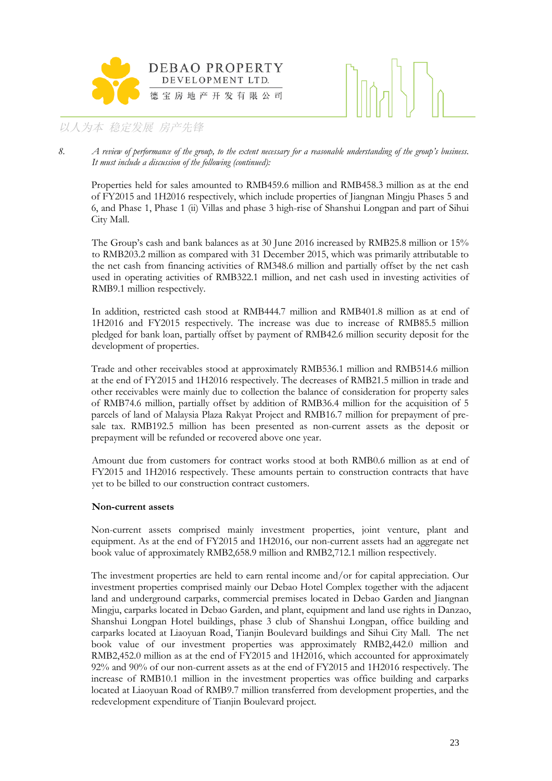



8. *A review of performance of the group, to the extent necessary for a reasonable understanding of the group's business.* It must include a discussion of the following (continued):

Properties held for sales amounted to RMB459.6 million and RMB458.3 million as at the end of FY2015 and 1H2016 respectively, which include properties of Jiangnan Mingju Phases 5 and 6, and Phase 1, Phase 1 (ii) Villas and phase 3 high-rise of Shanshui Longpan and part of Sihui City Mall.

The Group's cash and bank balances as at 30 June 2016 increased by RMB25.8 million or 15% to RMB203.2 million as compared with 31 December 2015, which was primarily attributable to the net cash from financing activities of RM348.6 million and partially offset by the net cash used in operating activities of RMB322.1 million, and net cash used in investing activities of RMB9.1 million respectively.

In addition, restricted cash stood at RMB444.7 million and RMB401.8 million as at end of 1H2016 and FY2015 respectively. The increase was due to increase of RMB85.5 million pledged for bank loan, partially offset by payment of RMB42.6 million security deposit for the development of properties.

Trade and other receivables stood at approximately RMB536.1 million and RMB514.6 million at the end of FY2015 and 1H2016 respectively. The decreases of RMB21.5 million in trade and other receivables were mainly due to collection the balance of consideration for property sales of RMB74.6 million, partially offset by addition of RMB36.4 million for the acquisition of 5 parcels of land of Malaysia Plaza Rakyat Project and RMB16.7 million for prepayment of presale tax. RMB192.5 million has been presented as non-current assets as the deposit or prepayment will be refunded or recovered above one year.

Amount due from customers for contract works stood at both RMB0.6 million as at end of FY2015 and 1H2016 respectively. These amounts pertain to construction contracts that have yet to be billed to our construction contract customers.

## **Non-current assets**

Non-current assets comprised mainly investment properties, joint venture, plant and equipment. As at the end of FY2015 and 1H2016, our non-current assets had an aggregate net book value of approximately RMB2,658.9 million and RMB2,712.1 million respectively.

The investment properties are held to earn rental income and/or for capital appreciation. Our investment properties comprised mainly our Debao Hotel Complex together with the adjacent land and underground carparks, commercial premises located in Debao Garden and Jiangnan Mingju, carparks located in Debao Garden, and plant, equipment and land use rights in Danzao, Shanshui Longpan Hotel buildings, phase 3 club of Shanshui Longpan, office building and carparks located at Liaoyuan Road, Tianjin Boulevard buildings and Sihui City Mall. The net book value of our investment properties was approximately RMB2,442.0 million and RMB2,452.0 million as at the end of FY2015 and 1H2016, which accounted for approximately 92% and 90% of our non-current assets as at the end of FY2015 and 1H2016 respectively. The increase of RMB10.1 million in the investment properties was office building and carparks located at Liaoyuan Road of RMB9.7 million transferred from development properties, and the redevelopment expenditure of Tianjin Boulevard project.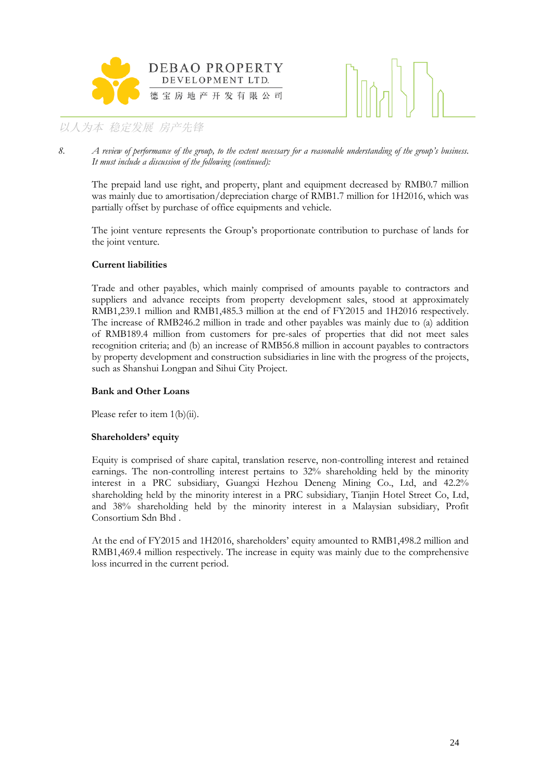



8. *A review of performance of the group, to the extent necessary for a reasonable understanding of the group's business.* It must include a discussion of the following (continued):

The prepaid land use right, and property, plant and equipment decreased by RMB0.7 million was mainly due to amortisation/depreciation charge of RMB1.7 million for 1H2016, which was partially offset by purchase of office equipments and vehicle.

The joint venture represents the Group's proportionate contribution to purchase of lands for the joint venture.

## **Current liabilities**

Trade and other payables, which mainly comprised of amounts payable to contractors and suppliers and advance receipts from property development sales, stood at approximately RMB1,239.1 million and RMB1,485.3 million at the end of FY2015 and 1H2016 respectively. The increase of RMB246.2 million in trade and other payables was mainly due to (a) addition of RMB189.4 million from customers for pre-sales of properties that did not meet sales recognition criteria; and (b) an increase of RMB56.8 million in account payables to contractors by property development and construction subsidiaries in line with the progress of the projects, such as Shanshui Longpan and Sihui City Project.

## **Bank and Other Loans**

Please refer to item 1(b)(ii).

## **Shareholders' equity**

Equity is comprised of share capital, translation reserve, non-controlling interest and retained earnings. The non-controlling interest pertains to 32% shareholding held by the minority interest in a PRC subsidiary, Guangxi Hezhou Deneng Mining Co., Ltd, and 42.2% shareholding held by the minority interest in a PRC subsidiary, Tianjin Hotel Street Co, Ltd, and 38% shareholding held by the minority interest in a Malaysian subsidiary, Profit Consortium Sdn Bhd .

At the end of FY2015 and 1H2016, shareholders'equity amounted to RMB1,498.2 million and RMB1,469.4 million respectively. The increase in equity was mainly due to the comprehensive loss incurred in the current period.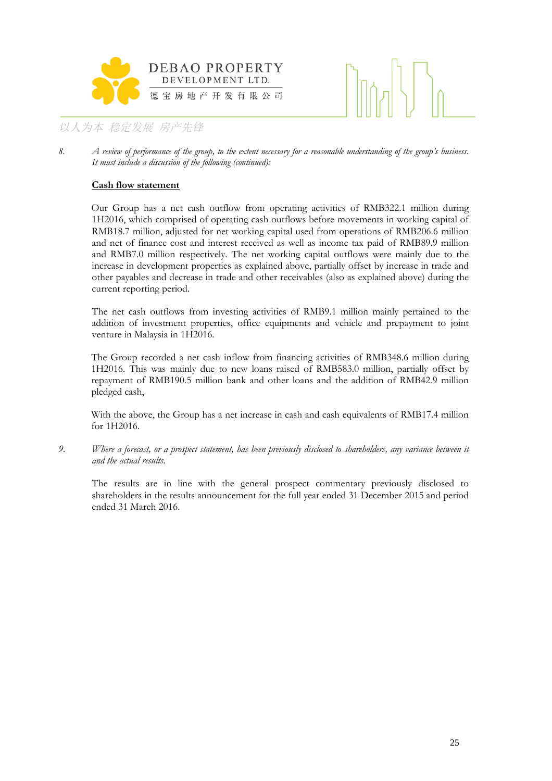



## **Cash flow statement**

Our Group has a net cash outflow from operating activities of RMB322.1 million during 1H2016, which comprised of operating cash outflows before movements in working capital of RMB18.7 million, adjusted for net working capital used from operations of RMB206.6 million and net of finance cost and interest received as well as income tax paid of RMB89.9 million and RMB7.0 million respectively. The net working capital outflows were mainly due to the increase in development properties as explained above, partially offset by increase in trade and other payables and decrease in trade and other receivables (also as explained above) during the current reporting period.

The net cash outflows from investing activities of RMB9.1 million mainly pertained to the addition of investment properties, office equipments and vehicle and prepayment to joint venture in Malaysia in 1H2016.

The Group recorded a net cash inflow from financing activities of RMB348.6 million during 1H2016. This was mainly due to new loans raised of RMB583.0 million, partially offset by repayment of RMB190.5 million bank and other loans and the addition of RMB42.9 million pledged cash,

With the above, the Group has a net increase in cash and cash equivalents of RMB17.4 million for 1H2016.

*9. Where a forecast, or a prospect statement, has been previously disclosed to shareholders, any variance between it and the actual results.* 

The results are in line with the general prospect commentary previously disclosed to shareholders in the results announcement for the full year ended 31 December 2015 and period ended 31 March 2016.

<sup>8.</sup> *A review of performance of the group, to the extent necessary for a reasonable understanding of the group's business.* It must include a discussion of the following (continued):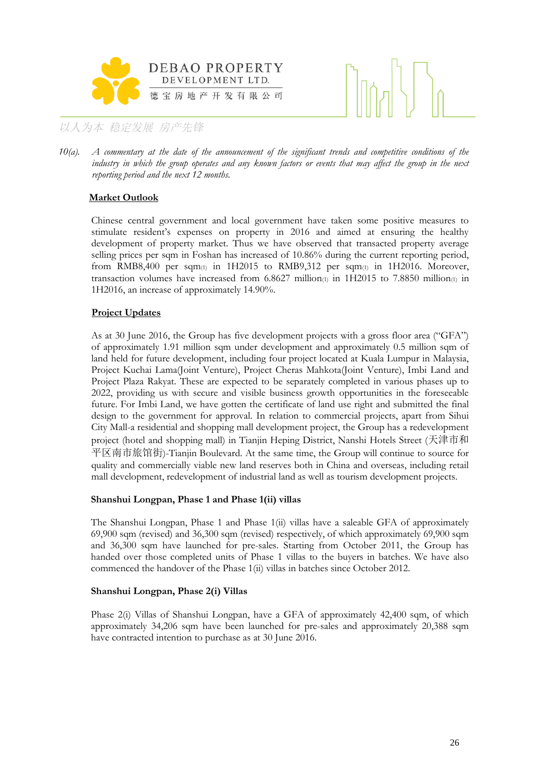



10(a). A commentary at the date of the announcement of the significant trends and competitive conditions of the *industry in which the group operates and any known factors or events that may affect the group in the next reporting period and the next 12 months.* 

## **Market Outlook**

Chinese central government and local government have taken some positive measures to stimulate resident's expenses on property in 2016 and aimed at ensuring the healthy development of property market. Thus we have observed that transacted property average selling prices per sqm in Foshan has increased of 10.86% during the current reporting period, from RMB8,400 per sqm(1) in 1H2015 to RMB9,312 per sqm(1) in 1H2016. Moreover, transaction volumes have increased from 6.8627 million $\alpha$  in 1H2015 to 7.8850 million $\alpha$  in 1H2016, an increase of approximately 14.90%.

## **Project Updates**

As at 30 June 2016, the Group has five development projects with a gross floor area ("GFA") of approximately 1.91 million sqm under development and approximately 0.5 million sqm of land held for future development, including four project located at Kuala Lumpur in Malaysia, Project Kuchai Lama(Joint Venture), Project Cheras Mahkota(Joint Venture), Imbi Land and Project Plaza Rakyat. These are expected to be separately completed in various phases up to 2022, providing us with secure and visible business growth opportunities in the foreseeable future. For Imbi Land, we have gotten the certificate of land use right and submitted the final design to the government for approval. In relation to commercial projects, apart from Sihui City Mall-a residential and shopping mall development project, the Group has a redevelopment project (hotel and shopping mall) in Tianjin Heping District, Nanshi Hotels Street (天津市和 平区南市旅馆街)-Tianjin Boulevard. At the same time, the Group will continue to source for quality and commercially viable new land reserves both in China and overseas, including retail mall development, redevelopment of industrial land as well as tourism development projects.

## **Shanshui Longpan, Phase 1 and Phase 1(ii) villas**

The Shanshui Longpan, Phase 1 and Phase 1(ii) villas have a saleable GFA of approximately 69,900 sqm (revised) and 36,300 sqm (revised) respectively, of which approximately 69,900 sqm and 36,300 sqm have launched for pre-sales. Starting from October 2011, the Group has handed over those completed units of Phase 1 villas to the buyers in batches. We have also commenced the handover of the Phase 1(ii) villas in batches since October 2012.

## **Shanshui Longpan, Phase 2(i) Villas**

Phase 2(i) Villas of Shanshui Longpan, have a GFA of approximately 42,400 sqm, of which approximately 34,206 sqm have been launched for pre-sales and approximately 20,388 sqm have contracted intention to purchase as at 30 June 2016.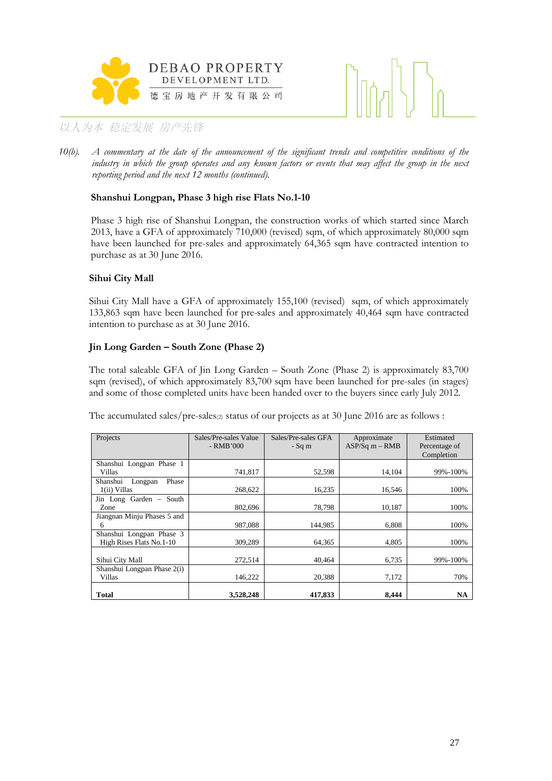



10(b). A commentary at the date of the announcement of the significant trends and competitive conditions of the *industry in which the group operates and any known factors or events that may affect the group in the next reporting period and the next 12 months (continued).* 

## **Shanshui Longpan, Phase 3 high rise Flats No.1-10**

Phase 3 high rise of Shanshui Longpan, the construction works of which started since March 2013, have a GFA of approximately 710,000 (revised) sqm, of which approximately 80,000 sqm have been launched for pre-sales and approximately 64,365 sqm have contracted intention to purchase as at 30 June 2016.

## **Sihui City Mall**

Sihui City Mall have a GFA of approximately 155,100 (revised) sqm, of which approximately 133,863 sqm have been launched for pre-sales and approximately 40,464 sqm have contracted intention to purchase as at 30 June 2016.

## Jin Long Garden – South Zone (Phase 2)

The total saleable GFA of Jin Long Garden – South Zone (Phase 2) is approximately 83,700 sqm (revised), of which approximately 83,700 sqm have been launched for pre-sales (in stages) and some of those completed units have been handed over to the buyers since early July 2012.

The accumulated sales/pre-sales $\varphi$  status of our projects as at 30 June 2016 are as follows :

| Projects                     | Sales/Pre-sales Value<br>- RMB'000 | Sales/Pre-sales GFA<br>$-Sq$ m | Approximate<br>$ASP/Sq$ m – RMB | Estimated<br>Percentage of |
|------------------------------|------------------------------------|--------------------------------|---------------------------------|----------------------------|
|                              |                                    |                                |                                 | Completion                 |
| Shanshui Longpan Phase 1     |                                    |                                |                                 |                            |
| Villas                       | 741,817                            | 52,598                         | 14,104                          | 99%-100%                   |
| Phase<br>Shanshui<br>Longpan |                                    |                                |                                 |                            |
| 1(ii) Villas                 | 268,622                            | 16,235                         | 16,546                          | 100%                       |
| Jin Long Garden - South      |                                    |                                |                                 |                            |
| Zone                         | 802.696                            | 78.798                         | 10.187                          | 100%                       |
| Jiangnan Minju Phases 5 and  |                                    |                                |                                 |                            |
| 6                            | 987,088                            | 144,985                        | 6,808                           | 100%                       |
| Shanshui Longpan Phase 3     |                                    |                                |                                 |                            |
| High Rises Flats No.1-10     | 309,289                            | 64.365                         | 4,805                           | 100%                       |
|                              |                                    |                                |                                 |                            |
| Sihui City Mall              | 272,514                            | 40.464                         | 6,735                           | 99%-100%                   |
| Shanshui Longpan Phase 2(i)  |                                    |                                |                                 |                            |
| Villas                       | 146,222                            | 20,388                         | 7,172                           | 70%                        |
|                              |                                    |                                |                                 |                            |
| Total                        | 3.528.248                          | 417.833                        | 8.444                           | <b>NA</b>                  |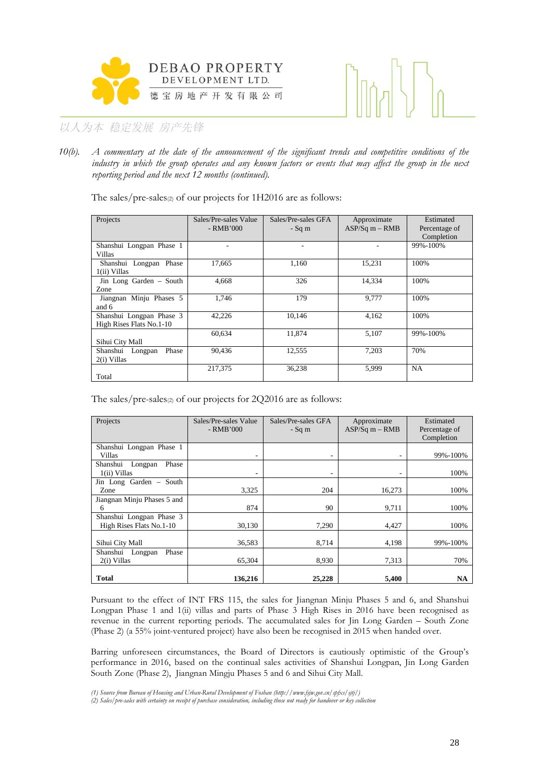



10(b). A commentary at the date of the announcement of the significant trends and competitive conditions of the *industry in which the group operates and any known factors or events that may affect the group in the next reporting period and the next 12 months (continued).* 

The sales/pre-sales<sup>(2)</sup> of our projects for 1H2016 are as follows:

| Projects                  | Sales/Pre-sales Value | Sales/Pre-sales GFA | Approximate      | Estimated     |
|---------------------------|-----------------------|---------------------|------------------|---------------|
|                           | $-RMB'000$            | - Sq m              | $ASP/Sq$ m – RMB | Percentage of |
|                           |                       |                     |                  | Completion    |
| Shanshui Longpan Phase 1  |                       |                     |                  | 99%-100%      |
| Villas                    |                       |                     |                  |               |
| Shanshui Longpan<br>Phase | 17,665                | 1,160               | 15,231           | 100%          |
| 1(ii) Villas              |                       |                     |                  |               |
| Jin Long Garden - South   | 4.668                 | 326                 | 14.334           | 100%          |
| Zone                      |                       |                     |                  |               |
| Jiangnan Minju Phases 5   | 1,746                 | 179                 | 9.777            | 100\%         |
| and 6                     |                       |                     |                  |               |
| Shanshui Longpan Phase 3  | 42,226                | 10,146              | 4,162            | 100%          |
| High Rises Flats No.1-10  |                       |                     |                  |               |
|                           | 60,634                | 11.874              | 5,107            | 99%-100%      |
| Sihui City Mall           |                       |                     |                  |               |
| Phase<br>Shanshui Longpan | 90,436                | 12,555              | 7,203            | 70%           |
| 2(i) Villas               |                       |                     |                  |               |
|                           | 217,375               | 36,238              | 5,999            | <b>NA</b>     |
| Total                     |                       |                     |                  |               |

The sales/pre-sales(2) of our projects for 2Q2016 are as follows:

| Projects                                             | Sales/Pre-sales Value<br>- RMB'000 | Sales/Pre-sales GFA<br>$-Sq$ m | Approximate<br>$ASP/Sq$ m – RMB | Estimated<br>Percentage of<br>Completion |
|------------------------------------------------------|------------------------------------|--------------------------------|---------------------------------|------------------------------------------|
| Shanshui Longpan Phase 1<br>Villas                   | ۰                                  |                                |                                 | 99%-100%                                 |
| Shanshui<br>Phase<br>Longpan<br>1(ii) Villas         | ۰                                  | ۰.                             |                                 | 100%                                     |
| Jin Long Garden - South<br>Zone                      | 3,325                              | 204                            | 16,273                          | 100%                                     |
| Jiangnan Minju Phases 5 and<br>6                     | 874                                | 90                             | 9,711                           | 100%                                     |
| Shanshui Longpan Phase 3<br>High Rises Flats No.1-10 | 30,130                             | 7,290                          | 4,427                           | 100%                                     |
| Sihui City Mall                                      | 36,583                             | 8,714                          | 4,198                           | 99%-100%                                 |
| Phase<br>Shanshui Longpan<br>2(i) Villas             | 65,304                             | 8.930                          | 7.313                           | 70%                                      |
| Total                                                | 136.216                            | 25,228                         | 5.400                           | NA.                                      |

Pursuant to the effect of INT FRS 115, the sales for Jiangnan Minju Phases 5 and 6, and Shanshui Longpan Phase 1 and 1(ii) villas and parts of Phase 3 High Rises in 2016 have been recognised as revenue in the current reporting periods. The accumulated sales for Jin Long Garden – South Zone (Phase 2) (a 55% joint-ventured project) have also been be recognised in 2015 when handed over.

Barring unforeseen circumstances, the Board of Directors is cautiously optimistic of the Group's performance in 2016, based on the continual sales activities of Shanshui Longpan, Jin Long Garden South Zone (Phase 2), Jiangnan Mingju Phases 5 and 6 and Sihui City Mall.

*(1)Sourcefrom B ureau of H ousingandUrban-RuralD evelopment of Foshan (http://www.fsjw.gov.cn/spfx s/sjtj/)*

(2) Sales/pre-sales with certainty on receipt of purchase consideration, including those not ready for handover or key collection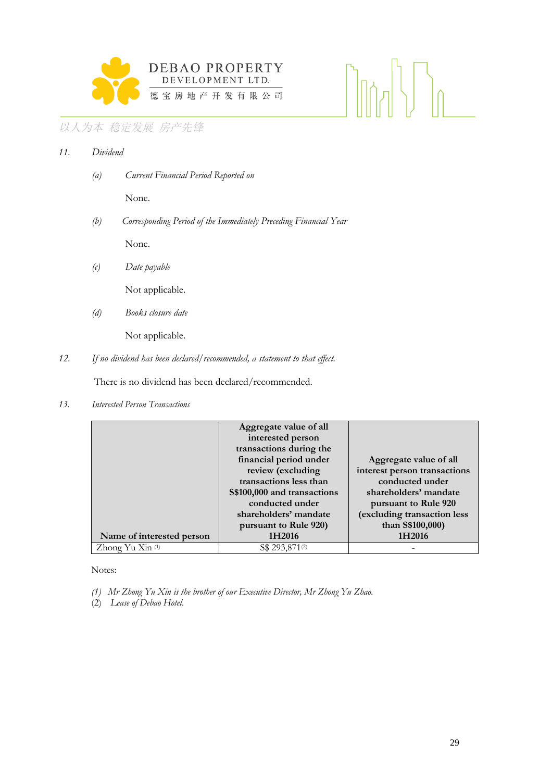

| 11. | Dividend |
|-----|----------|
|     |          |

| $\left( a\right)$ | Current Financial Period Reported on |
|-------------------|--------------------------------------|
|                   | None.                                |

 $(b)$ Corresponding Period of the Immediately Preceding Financial Year

None.

 $(c)$ Date payable

Not applicable.

Books closure date  $(d)$ 

Not applicable.

If no dividend has been declared/recommended, a statement to that effect.  $12.$ 

There is no dividend has been declared/recommended.

 $13.$ **Interested Person Transactions** 

|                             | Aggregate value of all      |                              |
|-----------------------------|-----------------------------|------------------------------|
|                             | interested person           |                              |
|                             | transactions during the     |                              |
|                             | financial period under      | Aggregate value of all       |
|                             | review (excluding           | interest person transactions |
|                             | transactions less than      | conducted under              |
|                             | S\$100,000 and transactions | shareholders' mandate        |
|                             | conducted under             | pursuant to Rule 920         |
|                             | shareholders' mandate       | (excluding transaction less  |
|                             | pursuant to Rule 920)       | than S\$100,000)             |
| Name of interested person   | 1H2016                      | 1H2016                       |
| Zhong Yu Xin <sup>(1)</sup> | S\$ 293,871 <sup>(2)</sup>  |                              |

ן ישען<br>| <u>ו</u>יעשן

 $\left\{ \left| \right. \right. \left. \right\}$ 

Notes:

- (1) Mr Zhong Yu Xin is the brother of our Executive Director, Mr Zhong Yu Zhao.
- (2) Lease of Debao Hotel.